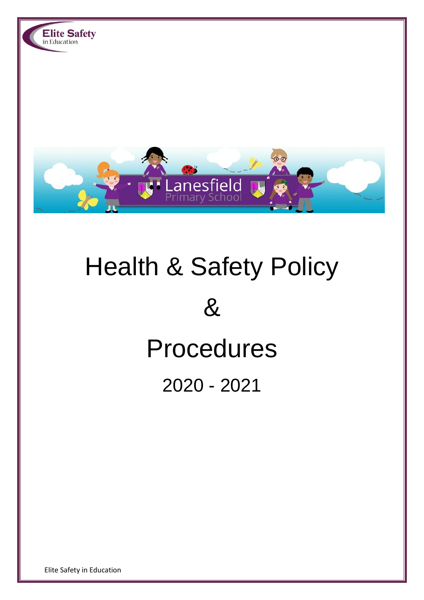

# Health & Safety Policy & Procedures 2020 - 2021

Elite Safety in Education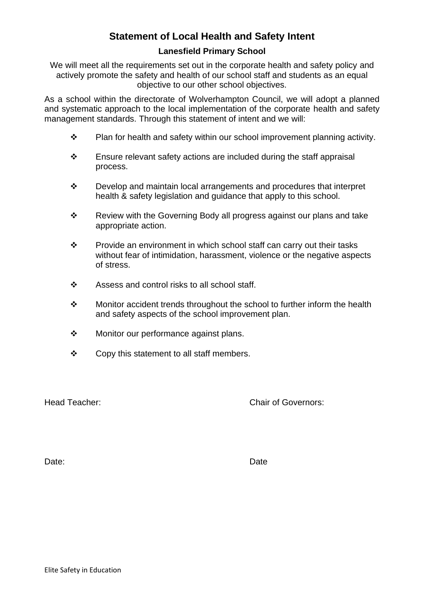# **Statement of Local Health and Safety Intent**

# **Lanesfield Primary School**

We will meet all the requirements set out in the corporate health and safety policy and actively promote the safety and health of our school staff and students as an equal objective to our other school objectives.

As a school within the directorate of Wolverhampton Council, we will adopt a planned and systematic approach to the local implementation of the corporate health and safety management standards. Through this statement of intent and we will:

- ❖ Plan for health and safety within our school improvement planning activity.
- ❖ Ensure relevant safety actions are included during the staff appraisal process.
- ❖ Develop and maintain local arrangements and procedures that interpret health & safety legislation and guidance that apply to this school.
- ❖ Review with the Governing Body all progress against our plans and take appropriate action.
- ❖ Provide an environment in which school staff can carry out their tasks without fear of intimidation, harassment, violence or the negative aspects of stress.
- ❖ Assess and control risks to all school staff.
- ❖ Monitor accident trends throughout the school to further inform the health and safety aspects of the school improvement plan.
- ❖ Monitor our performance against plans.
- ❖ Copy this statement to all staff members.

Head Teacher: Chair of Governors:

Date: **Date:** Date: **Date:** Date: **Date: Date: Date: Date: Date: Date: Date: Date: Date: Date: Date: Date: Date: Date: Date: Date: Date: Date: Date: Date: Date: Date: Date: Dat**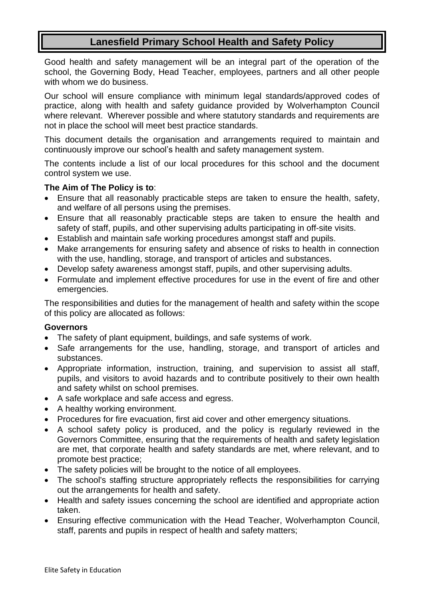# **Lanesfield Primary School Health and Safety Policy**

Good health and safety management will be an integral part of the operation of the school, the Governing Body, Head Teacher, employees, partners and all other people with whom we do business.

Our school will ensure compliance with minimum legal standards/approved codes of practice, along with health and safety guidance provided by Wolverhampton Council where relevant. Wherever possible and where statutory standards and requirements are not in place the school will meet best practice standards.

This document details the organisation and arrangements required to maintain and continuously improve our school's health and safety management system.

The contents include a list of our local procedures for this school and the document control system we use.

#### **The Aim of The Policy is to**:

- Ensure that all reasonably practicable steps are taken to ensure the health, safety, and welfare of all persons using the premises.
- Ensure that all reasonably practicable steps are taken to ensure the health and safety of staff, pupils, and other supervising adults participating in off-site visits.
- Establish and maintain safe working procedures amongst staff and pupils.
- Make arrangements for ensuring safety and absence of risks to health in connection with the use, handling, storage, and transport of articles and substances.
- Develop safety awareness amongst staff, pupils, and other supervising adults.
- Formulate and implement effective procedures for use in the event of fire and other emergencies.

The responsibilities and duties for the management of health and safety within the scope of this policy are allocated as follows:

#### **Governors**

- The safety of plant equipment, buildings, and safe systems of work.
- Safe arrangements for the use, handling, storage, and transport of articles and substances.
- Appropriate information, instruction, training, and supervision to assist all staff, pupils, and visitors to avoid hazards and to contribute positively to their own health and safety whilst on school premises.
- A safe workplace and safe access and egress.
- A healthy working environment.
- Procedures for fire evacuation, first aid cover and other emergency situations.
- A school safety policy is produced, and the policy is regularly reviewed in the Governors Committee, ensuring that the requirements of health and safety legislation are met, that corporate health and safety standards are met, where relevant, and to promote best practice;
- The safety policies will be brought to the notice of all employees.
- The school's staffing structure appropriately reflects the responsibilities for carrying out the arrangements for health and safety.
- Health and safety issues concerning the school are identified and appropriate action taken.
- Ensuring effective communication with the Head Teacher, Wolverhampton Council, staff, parents and pupils in respect of health and safety matters;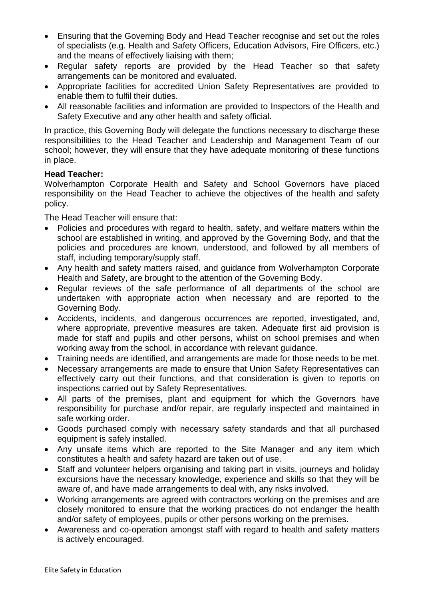- Ensuring that the Governing Body and Head Teacher recognise and set out the roles of specialists (e.g. Health and Safety Officers, Education Advisors, Fire Officers, etc.) and the means of effectively liaising with them;
- Regular safety reports are provided by the Head Teacher so that safety arrangements can be monitored and evaluated.
- Appropriate facilities for accredited Union Safety Representatives are provided to enable them to fulfil their duties.
- All reasonable facilities and information are provided to Inspectors of the Health and Safety Executive and any other health and safety official.

In practice, this Governing Body will delegate the functions necessary to discharge these responsibilities to the Head Teacher and Leadership and Management Team of our school; however, they will ensure that they have adequate monitoring of these functions in place.

# **Head Teacher:**

Wolverhampton Corporate Health and Safety and School Governors have placed responsibility on the Head Teacher to achieve the objectives of the health and safety policy.

The Head Teacher will ensure that:

- Policies and procedures with regard to health, safety, and welfare matters within the school are established in writing, and approved by the Governing Body, and that the policies and procedures are known, understood, and followed by all members of staff, including temporary/supply staff.
- Any health and safety matters raised, and guidance from Wolverhampton Corporate Health and Safety, are brought to the attention of the Governing Body.
- Regular reviews of the safe performance of all departments of the school are undertaken with appropriate action when necessary and are reported to the Governing Body.
- Accidents, incidents, and dangerous occurrences are reported, investigated, and, where appropriate, preventive measures are taken. Adequate first aid provision is made for staff and pupils and other persons, whilst on school premises and when working away from the school, in accordance with relevant guidance.
- Training needs are identified, and arrangements are made for those needs to be met.
- Necessary arrangements are made to ensure that Union Safety Representatives can effectively carry out their functions, and that consideration is given to reports on inspections carried out by Safety Representatives.
- All parts of the premises, plant and equipment for which the Governors have responsibility for purchase and/or repair, are regularly inspected and maintained in safe working order.
- Goods purchased comply with necessary safety standards and that all purchased equipment is safely installed.
- Any unsafe items which are reported to the Site Manager and any item which constitutes a health and safety hazard are taken out of use.
- Staff and volunteer helpers organising and taking part in visits, journeys and holiday excursions have the necessary knowledge, experience and skills so that they will be aware of, and have made arrangements to deal with, any risks involved.
- Working arrangements are agreed with contractors working on the premises and are closely monitored to ensure that the working practices do not endanger the health and/or safety of employees, pupils or other persons working on the premises.
- Awareness and co-operation amongst staff with regard to health and safety matters is actively encouraged.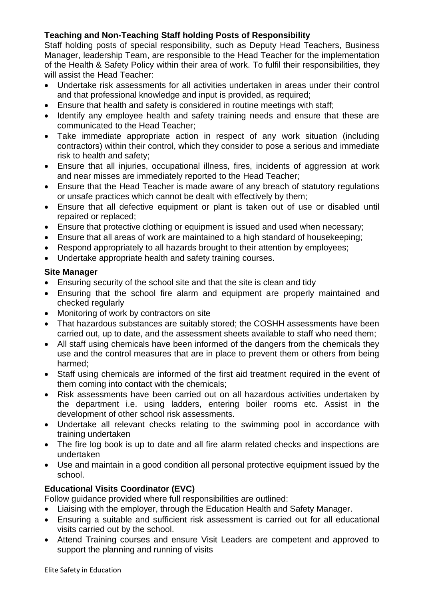# **Teaching and Non-Teaching Staff holding Posts of Responsibility**

Staff holding posts of special responsibility, such as Deputy Head Teachers, Business Manager, leadership Team, are responsible to the Head Teacher for the implementation of the Health & Safety Policy within their area of work. To fulfil their responsibilities, they will assist the Head Teacher:

- Undertake risk assessments for all activities undertaken in areas under their control and that professional knowledge and input is provided, as required;
- Ensure that health and safety is considered in routine meetings with staff;
- Identify any employee health and safety training needs and ensure that these are communicated to the Head Teacher;
- Take immediate appropriate action in respect of any work situation (including contractors) within their control, which they consider to pose a serious and immediate risk to health and safety;
- Ensure that all injuries, occupational illness, fires, incidents of aggression at work and near misses are immediately reported to the Head Teacher;
- Ensure that the Head Teacher is made aware of any breach of statutory regulations or unsafe practices which cannot be dealt with effectively by them;
- Ensure that all defective equipment or plant is taken out of use or disabled until repaired or replaced;
- Ensure that protective clothing or equipment is issued and used when necessary;
- Ensure that all areas of work are maintained to a high standard of housekeeping;
- Respond appropriately to all hazards brought to their attention by employees;
- Undertake appropriate health and safety training courses.

## **Site Manager**

- Ensuring security of the school site and that the site is clean and tidy
- Ensuring that the school fire alarm and equipment are properly maintained and checked regularly
- Monitoring of work by contractors on site
- That hazardous substances are suitably stored; the COSHH assessments have been carried out, up to date, and the assessment sheets available to staff who need them;
- All staff using chemicals have been informed of the dangers from the chemicals they use and the control measures that are in place to prevent them or others from being harmed;
- Staff using chemicals are informed of the first aid treatment required in the event of them coming into contact with the chemicals;
- Risk assessments have been carried out on all hazardous activities undertaken by the department i.e. using ladders, entering boiler rooms etc. Assist in the development of other school risk assessments.
- Undertake all relevant checks relating to the swimming pool in accordance with training undertaken
- The fire log book is up to date and all fire alarm related checks and inspections are undertaken
- Use and maintain in a good condition all personal protective equipment issued by the school.

# **Educational Visits Coordinator (EVC)**

Follow guidance provided where full responsibilities are outlined:

- Liaising with the employer, through the Education Health and Safety Manager.
- Ensuring a suitable and sufficient risk assessment is carried out for all educational visits carried out by the school.
- Attend Training courses and ensure Visit Leaders are competent and approved to support the planning and running of visits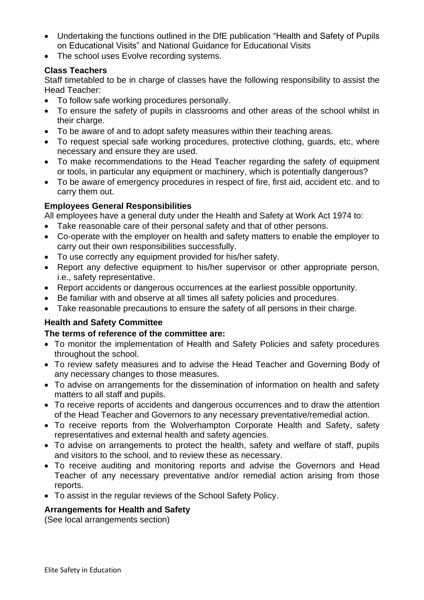- Undertaking the functions outlined in the DfE publication "Health and Safety of Pupils on Educational Visits" and National Guidance for Educational Visits
- The school uses Evolve recording systems.

# **Class Teachers**

Staff timetabled to be in charge of classes have the following responsibility to assist the Head Teacher:

- To follow safe working procedures personally.
- To ensure the safety of pupils in classrooms and other areas of the school whilst in their charge.
- To be aware of and to adopt safety measures within their teaching areas.
- To request special safe working procedures, protective clothing, quards, etc, where necessary and ensure they are used.
- To make recommendations to the Head Teacher regarding the safety of equipment or tools, in particular any equipment or machinery, which is potentially dangerous?
- To be aware of emergency procedures in respect of fire, first aid, accident etc. and to carry them out.

# **Employees General Responsibilities**

All employees have a general duty under the Health and Safety at Work Act 1974 to:

- Take reasonable care of their personal safety and that of other persons.
- Co-operate with the employer on health and safety matters to enable the employer to carry out their own responsibilities successfully.
- To use correctly any equipment provided for his/her safety.
- Report any defective equipment to his/her supervisor or other appropriate person, i.e., safety representative.
- Report accidents or dangerous occurrences at the earliest possible opportunity.
- Be familiar with and observe at all times all safety policies and procedures.
- Take reasonable precautions to ensure the safety of all persons in their charge.

# **Health and Safety Committee**

# **The terms of reference of the committee are:**

- To monitor the implementation of Health and Safety Policies and safety procedures throughout the school.
- To review safety measures and to advise the Head Teacher and Governing Body of any necessary changes to those measures.
- To advise on arrangements for the dissemination of information on health and safety matters to all staff and pupils.
- To receive reports of accidents and dangerous occurrences and to draw the attention of the Head Teacher and Governors to any necessary preventative/remedial action.
- To receive reports from the Wolverhampton Corporate Health and Safety, safety representatives and external health and safety agencies.
- To advise on arrangements to protect the health, safety and welfare of staff, pupils and visitors to the school, and to review these as necessary.
- To receive auditing and monitoring reports and advise the Governors and Head Teacher of any necessary preventative and/or remedial action arising from those reports.
- To assist in the regular reviews of the School Safety Policy.

# **Arrangements for Health and Safety**

(See local arrangements section)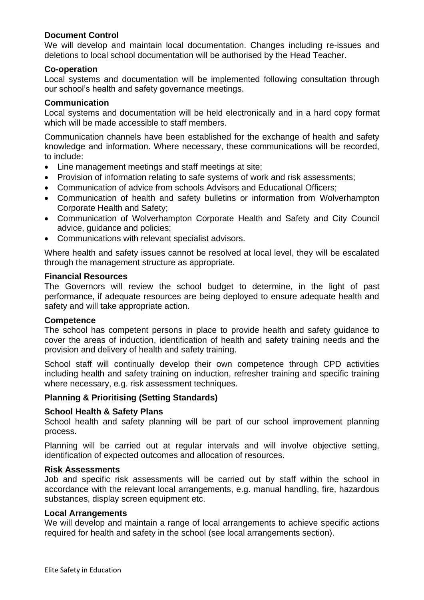## **Document Control**

We will develop and maintain local documentation. Changes including re-issues and deletions to local school documentation will be authorised by the Head Teacher.

#### **Co-operation**

Local systems and documentation will be implemented following consultation through our school's health and safety governance meetings.

#### **Communication**

Local systems and documentation will be held electronically and in a hard copy format which will be made accessible to staff members.

Communication channels have been established for the exchange of health and safety knowledge and information. Where necessary, these communications will be recorded, to include:

- Line management meetings and staff meetings at site;
- Provision of information relating to safe systems of work and risk assessments:
- Communication of advice from schools Advisors and Educational Officers;
- Communication of health and safety bulletins or information from Wolverhampton Corporate Health and Safety;
- Communication of Wolverhampton Corporate Health and Safety and City Council advice, guidance and policies;
- Communications with relevant specialist advisors.

Where health and safety issues cannot be resolved at local level, they will be escalated through the management structure as appropriate.

#### **Financial Resources**

The Governors will review the school budget to determine, in the light of past performance, if adequate resources are being deployed to ensure adequate health and safety and will take appropriate action.

#### **Competence**

The school has competent persons in place to provide health and safety guidance to cover the areas of induction, identification of health and safety training needs and the provision and delivery of health and safety training.

School staff will continually develop their own competence through CPD activities including health and safety training on induction, refresher training and specific training where necessary, e.g. risk assessment techniques.

## **Planning & Prioritising (Setting Standards)**

## **School Health & Safety Plans**

School health and safety planning will be part of our school improvement planning process.

Planning will be carried out at regular intervals and will involve objective setting, identification of expected outcomes and allocation of resources.

#### **Risk Assessments**

Job and specific risk assessments will be carried out by staff within the school in accordance with the relevant local arrangements, e.g. manual handling, fire, hazardous substances, display screen equipment etc.

#### **Local Arrangements**

We will develop and maintain a range of local arrangements to achieve specific actions required for health and safety in the school (see local arrangements section).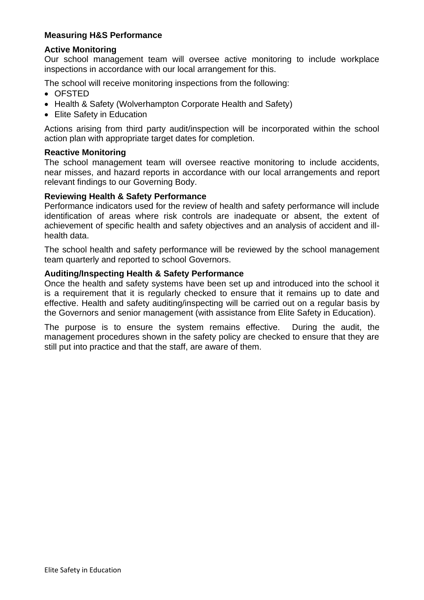# **Measuring H&S Performance**

# **Active Monitoring**

Our school management team will oversee active monitoring to include workplace inspections in accordance with our local arrangement for this.

The school will receive monitoring inspections from the following:

- OFSTED
- Health & Safety (Wolverhampton Corporate Health and Safety)
- Elite Safety in Education

Actions arising from third party audit/inspection will be incorporated within the school action plan with appropriate target dates for completion.

## **Reactive Monitoring**

The school management team will oversee reactive monitoring to include accidents, near misses, and hazard reports in accordance with our local arrangements and report relevant findings to our Governing Body.

## **Reviewing Health & Safety Performance**

Performance indicators used for the review of health and safety performance will include identification of areas where risk controls are inadequate or absent, the extent of achievement of specific health and safety objectives and an analysis of accident and illhealth data.

The school health and safety performance will be reviewed by the school management team quarterly and reported to school Governors.

#### **Auditing/Inspecting Health & Safety Performance**

Once the health and safety systems have been set up and introduced into the school it is a requirement that it is regularly checked to ensure that it remains up to date and effective. Health and safety auditing/inspecting will be carried out on a regular basis by the Governors and senior management (with assistance from Elite Safety in Education).

The purpose is to ensure the system remains effective. During the audit, the management procedures shown in the safety policy are checked to ensure that they are still put into practice and that the staff, are aware of them.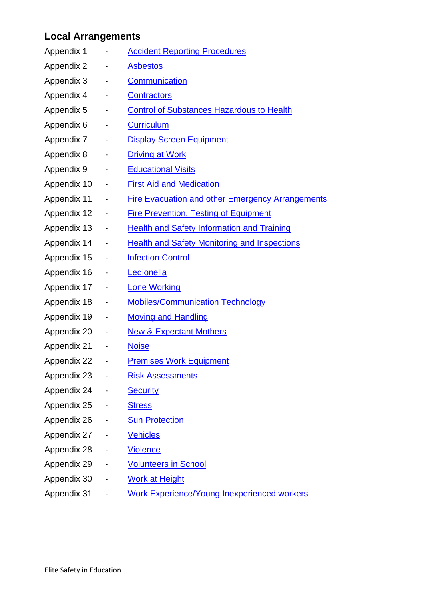# <span id="page-8-0"></span>**Local Arrangements**

| Appendix 1  |                              | <b>Accident Reporting Procedures</b>                    |
|-------------|------------------------------|---------------------------------------------------------|
| Appendix 2  |                              | <b>Asbestos</b>                                         |
| Appendix 3  | -                            | <b>Communication</b>                                    |
| Appendix 4  | -                            | <b>Contractors</b>                                      |
| Appendix 5  | -                            | <b>Control of Substances Hazardous to Health</b>        |
| Appendix 6  |                              | <b>Curriculum</b>                                       |
| Appendix 7  | $\overline{\phantom{0}}$     | <b>Display Screen Equipment</b>                         |
| Appendix 8  | ۳                            | <b>Driving at Work</b>                                  |
| Appendix 9  | -                            | <b>Educational Visits</b>                               |
| Appendix 10 | -                            | <b>First Aid and Medication</b>                         |
| Appendix 11 | $\blacksquare$               | <b>Fire Evacuation and other Emergency Arrangements</b> |
| Appendix 12 |                              | <b>Fire Prevention, Testing of Equipment</b>            |
| Appendix 13 | $\overline{\phantom{0}}$     | <b>Health and Safety Information and Training</b>       |
| Appendix 14 | $\overline{\phantom{0}}$     | <b>Health and Safety Monitoring and Inspections</b>     |
| Appendix 15 | $\qquad \qquad \blacksquare$ | <b>Infection Control</b>                                |
| Appendix 16 | $\blacksquare$               | Legionella                                              |
| Appendix 17 | -                            | <b>Lone Working</b>                                     |
| Appendix 18 | $\qquad \qquad \blacksquare$ | <b>Mobiles/Communication Technology</b>                 |
| Appendix 19 | -                            | <b>Moving and Handling</b>                              |
| Appendix 20 | $\overline{\phantom{0}}$     | <b>New &amp; Expectant Mothers</b>                      |
| Appendix 21 |                              | <b>Noise</b>                                            |
| Appendix 22 |                              | <u>Premises Work Equipment</u>                          |
| Appendix 23 |                              | <b>Risk Assessments</b>                                 |
| Appendix 24 |                              | <b>Security</b>                                         |
| Appendix 25 |                              | <b>Stress</b>                                           |
| Appendix 26 |                              | <b>Sun Protection</b>                                   |
| Appendix 27 |                              | <b>Vehicles</b>                                         |
| Appendix 28 |                              | <b>Violence</b>                                         |
| Appendix 29 |                              | <b>Volunteers in School</b>                             |
| Appendix 30 |                              | <b>Work at Height</b>                                   |
| Appendix 31 |                              | <b>Work Experience/Young Inexperienced workers</b>      |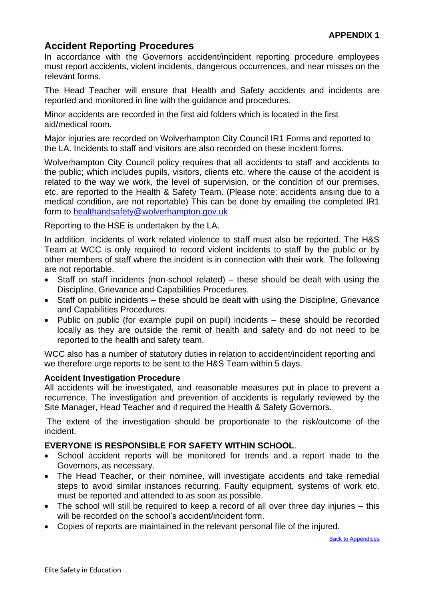# <span id="page-9-0"></span>**Accident Reporting Procedures**

In accordance with the Governors accident/incident reporting procedure employees must report accidents, violent incidents, dangerous occurrences, and near misses on the relevant forms.

The Head Teacher will ensure that Health and Safety accidents and incidents are reported and monitored in line with the guidance and procedures.

Minor accidents are recorded in the first aid folders which is located in the first aid/medical room.

Major injuries are recorded on Wolverhampton City Council IR1 Forms and reported to the LA. Incidents to staff and visitors are also recorded on these incident forms.

Wolverhampton City Council policy requires that all accidents to staff and accidents to the public; which includes pupils, visitors, clients etc. where the cause of the accident is related to the way we work, the level of supervision, or the condition of our premises, etc. are reported to the Health & Safety Team. (Please note: accidents arising due to a medical condition, are not reportable) This can be done by emailing the completed IR1 form to [healthandsafety@wolverhampton.gov.uk](mailto:healthandsafety@wolverhampton.gov.uk)

Reporting to the HSE is undertaken by the LA.

In addition, incidents of work related violence to staff must also be reported. The H&S Team at WCC is only required to record violent incidents to staff by the public or by other members of staff where the incident is in connection with their work. The following are not reportable.

- Staff on staff incidents (non-school related) these should be dealt with using the Discipline, Grievance and Capabilities Procedures.
- Staff on public incidents these should be dealt with using the Discipline, Grievance and Capabilities Procedures.
- Public on public (for example pupil on pupil) incidents these should be recorded locally as they are outside the remit of health and safety and do not need to be reported to the health and safety team.

WCC also has a number of statutory duties in relation to accident/incident reporting and we therefore urge reports to be sent to the H&S Team within 5 days.

## **Accident Investigation Procedure**

All accidents will be investigated, and reasonable measures put in place to prevent a recurrence. The investigation and prevention of accidents is regularly reviewed by the Site Manager, Head Teacher and if required the Health & Safety Governors.

The extent of the investigation should be proportionate to the risk/outcome of the incident.

## **EVERYONE IS RESPONSIBLE FOR SAFETY WITHIN SCHOOL**.

- School accident reports will be monitored for trends and a report made to the Governors, as necessary.
- The Head Teacher, or their nominee, will investigate accidents and take remedial steps to avoid similar instances recurring. Faulty equipment, systems of work etc. must be reported and attended to as soon as possible.
- The school will still be required to keep a record of all over three day injuries this will be recorded on the school's accident/incident form.
- Copies of reports are maintained in the relevant personal file of the injured.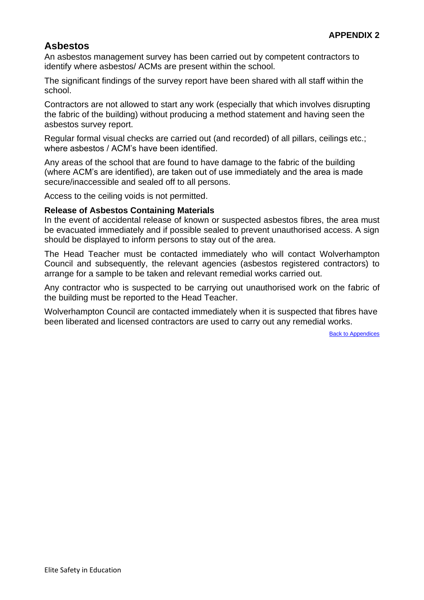# <span id="page-10-0"></span>**Asbestos**

An asbestos management survey has been carried out by competent contractors to identify where asbestos/ ACMs are present within the school.

The significant findings of the survey report have been shared with all staff within the school.

Contractors are not allowed to start any work (especially that which involves disrupting the fabric of the building) without producing a method statement and having seen the asbestos survey report.

Regular formal visual checks are carried out (and recorded) of all pillars, ceilings etc.; where asbestos / ACM's have been identified.

Any areas of the school that are found to have damage to the fabric of the building (where ACM's are identified), are taken out of use immediately and the area is made secure/inaccessible and sealed off to all persons.

Access to the ceiling voids is not permitted.

## **Release of Asbestos Containing Materials**

In the event of accidental release of known or suspected asbestos fibres, the area must be evacuated immediately and if possible sealed to prevent unauthorised access. A sign should be displayed to inform persons to stay out of the area.

The Head Teacher must be contacted immediately who will contact Wolverhampton Council and subsequently, the relevant agencies (asbestos registered contractors) to arrange for a sample to be taken and relevant remedial works carried out.

Any contractor who is suspected to be carrying out unauthorised work on the fabric of the building must be reported to the Head Teacher.

Wolverhampton Council are contacted immediately when it is suspected that fibres have been liberated and licensed contractors are used to carry out any remedial works.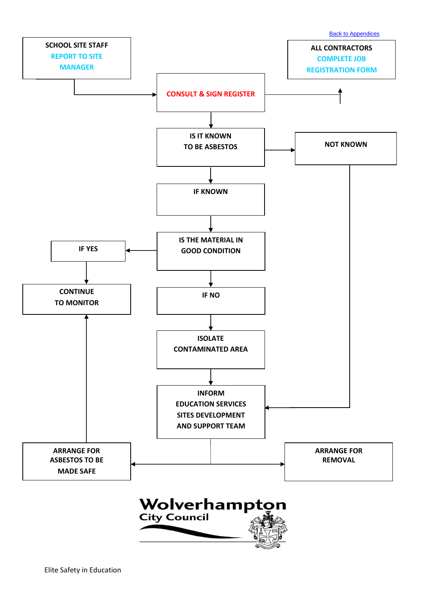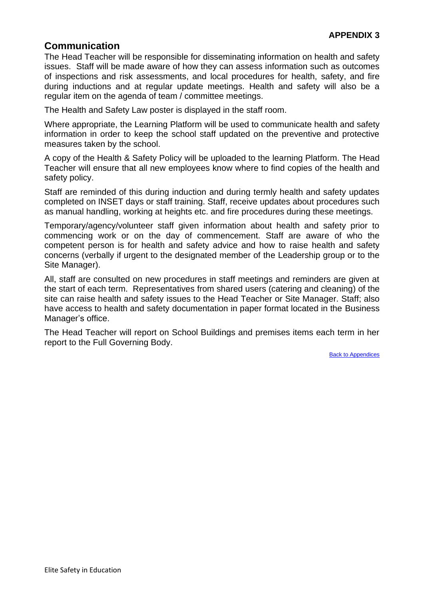# <span id="page-12-0"></span>**Communication**

The Head Teacher will be responsible for disseminating information on health and safety issues. Staff will be made aware of how they can assess information such as outcomes of inspections and risk assessments, and local procedures for health, safety, and fire during inductions and at regular update meetings. Health and safety will also be a regular item on the agenda of team / committee meetings.

The Health and Safety Law poster is displayed in the staff room.

Where appropriate, the Learning Platform will be used to communicate health and safety information in order to keep the school staff updated on the preventive and protective measures taken by the school.

A copy of the Health & Safety Policy will be uploaded to the learning Platform. The Head Teacher will ensure that all new employees know where to find copies of the health and safety policy.

Staff are reminded of this during induction and during termly health and safety updates completed on INSET days or staff training. Staff, receive updates about procedures such as manual handling, working at heights etc. and fire procedures during these meetings.

Temporary/agency/volunteer staff given information about health and safety prior to commencing work or on the day of commencement. Staff are aware of who the competent person is for health and safety advice and how to raise health and safety concerns (verbally if urgent to the designated member of the Leadership group or to the Site Manager).

All, staff are consulted on new procedures in staff meetings and reminders are given at the start of each term. Representatives from shared users (catering and cleaning) of the site can raise health and safety issues to the Head Teacher or Site Manager. Staff; also have access to health and safety documentation in paper format located in the Business Manager's office.

The Head Teacher will report on School Buildings and premises items each term in her report to the Full Governing Body.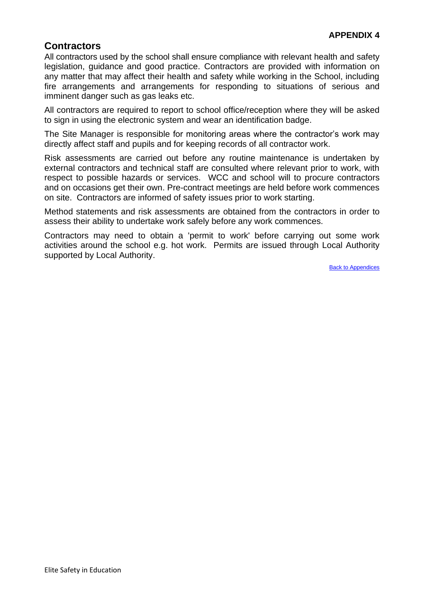# <span id="page-13-0"></span>**Contractors**

All contractors used by the school shall ensure compliance with relevant health and safety legislation, guidance and good practice. Contractors are provided with information on any matter that may affect their health and safety while working in the School, including fire arrangements and arrangements for responding to situations of serious and imminent danger such as gas leaks etc.

All contractors are required to report to school office/reception where they will be asked to sign in using the electronic system and wear an identification badge.

The Site Manager is responsible for monitoring areas where the contractor's work may directly affect staff and pupils and for keeping records of all contractor work.

Risk assessments are carried out before any routine maintenance is undertaken by external contractors and technical staff are consulted where relevant prior to work, with respect to possible hazards or services. WCC and school will to procure contractors and on occasions get their own. Pre-contract meetings are held before work commences on site. Contractors are informed of safety issues prior to work starting.

Method statements and risk assessments are obtained from the contractors in order to assess their ability to undertake work safely before any work commences.

Contractors may need to obtain a 'permit to work' before carrying out some work activities around the school e.g. hot work. Permits are issued through Local Authority supported by Local Authority.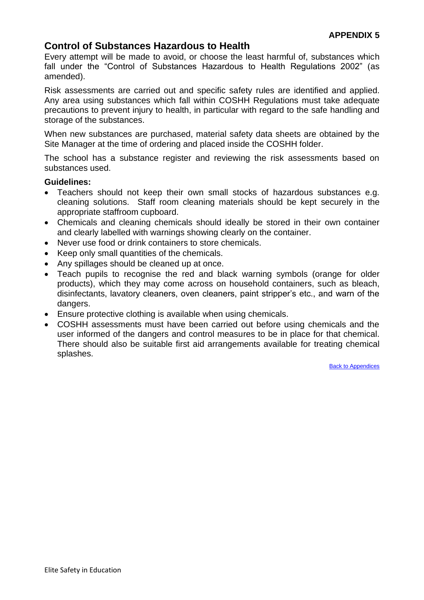# <span id="page-14-0"></span>**Control of Substances Hazardous to Health**

Every attempt will be made to avoid, or choose the least harmful of, substances which fall under the "Control of Substances Hazardous to Health Regulations 2002" (as amended).

Risk assessments are carried out and specific safety rules are identified and applied. Any area using substances which fall within COSHH Regulations must take adequate precautions to prevent injury to health, in particular with regard to the safe handling and storage of the substances.

When new substances are purchased, material safety data sheets are obtained by the Site Manager at the time of ordering and placed inside the COSHH folder.

The school has a substance register and reviewing the risk assessments based on substances used.

#### **Guidelines:**

- Teachers should not keep their own small stocks of hazardous substances e.g. cleaning solutions. Staff room cleaning materials should be kept securely in the appropriate staffroom cupboard.
- Chemicals and cleaning chemicals should ideally be stored in their own container and clearly labelled with warnings showing clearly on the container.
- Never use food or drink containers to store chemicals.
- Keep only small quantities of the chemicals.
- Any spillages should be cleaned up at once.
- Teach pupils to recognise the red and black warning symbols (orange for older products), which they may come across on household containers, such as bleach, disinfectants, lavatory cleaners, oven cleaners, paint stripper's etc., and warn of the dangers.
- Ensure protective clothing is available when using chemicals.
- COSHH assessments must have been carried out before using chemicals and the user informed of the dangers and control measures to be in place for that chemical. There should also be suitable first aid arrangements available for treating chemical splashes.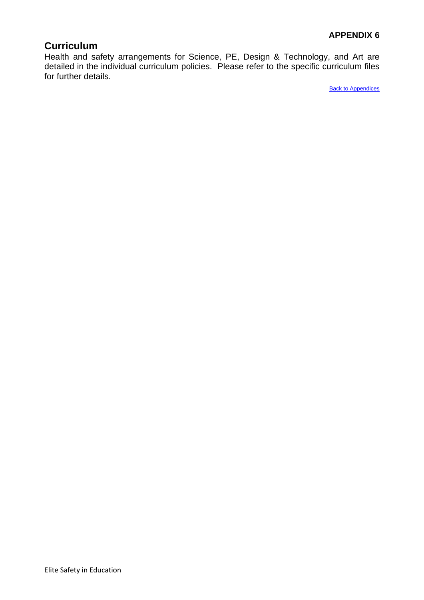# <span id="page-15-0"></span>**Curriculum**

Health and safety arrangements for Science, PE, Design & Technology, and Art are detailed in the individual curriculum policies. Please refer to the specific curriculum files for further details.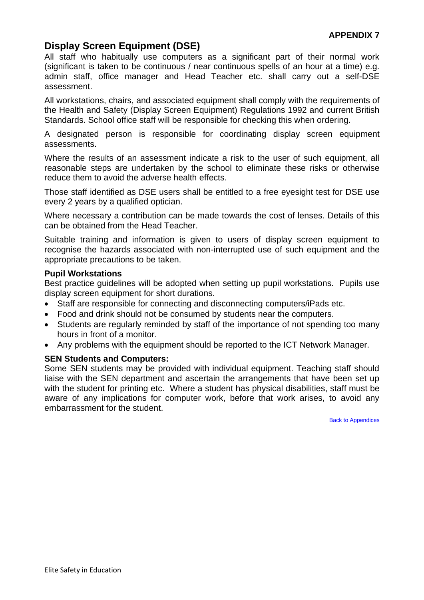# <span id="page-16-0"></span>**Display Screen Equipment (DSE)**

All staff who habitually use computers as a significant part of their normal work (significant is taken to be continuous / near continuous spells of an hour at a time) e.g. admin staff, office manager and Head Teacher etc. shall carry out a self-DSE assessment.

All workstations, chairs, and associated equipment shall comply with the requirements of the Health and Safety (Display Screen Equipment) Regulations 1992 and current British Standards. School office staff will be responsible for checking this when ordering.

A designated person is responsible for coordinating display screen equipment assessments.

Where the results of an assessment indicate a risk to the user of such equipment, all reasonable steps are undertaken by the school to eliminate these risks or otherwise reduce them to avoid the adverse health effects.

Those staff identified as DSE users shall be entitled to a free eyesight test for DSE use every 2 years by a qualified optician.

Where necessary a contribution can be made towards the cost of lenses. Details of this can be obtained from the Head Teacher.

Suitable training and information is given to users of display screen equipment to recognise the hazards associated with non-interrupted use of such equipment and the appropriate precautions to be taken.

#### **Pupil Workstations**

Best practice guidelines will be adopted when setting up pupil workstations. Pupils use display screen equipment for short durations.

- Staff are responsible for connecting and disconnecting computers/iPads etc.
- Food and drink should not be consumed by students near the computers.
- Students are regularly reminded by staff of the importance of not spending too many hours in front of a monitor.
- Any problems with the equipment should be reported to the ICT Network Manager.

#### **SEN Students and Computers:**

Some SEN students may be provided with individual equipment. Teaching staff should liaise with the SEN department and ascertain the arrangements that have been set up with the student for printing etc. Where a student has physical disabilities, staff must be aware of any implications for computer work, before that work arises, to avoid any embarrassment for the student.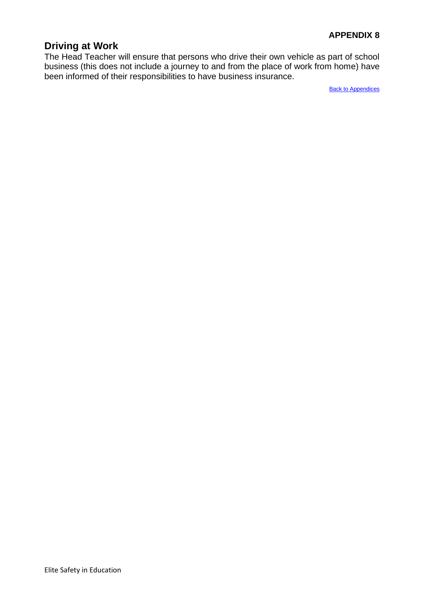# <span id="page-17-0"></span>**Driving at Work**

The Head Teacher will ensure that persons who drive their own vehicle as part of school business (this does not include a journey to and from the place of work from home) have been informed of their responsibilities to have business insurance.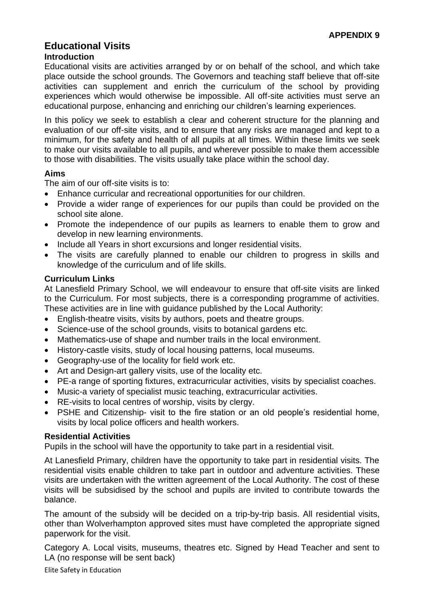# <span id="page-18-0"></span>**Educational Visits Introduction**

## Educational visits are activities arranged by or on behalf of the school, and which take place outside the school grounds. The Governors and teaching staff believe that off-site activities can supplement and enrich the curriculum of the school by providing experiences which would otherwise be impossible. All off-site activities must serve an educational purpose, enhancing and enriching our children's learning experiences.

In this policy we seek to establish a clear and coherent structure for the planning and evaluation of our off-site visits, and to ensure that any risks are managed and kept to a minimum, for the safety and health of all pupils at all times. Within these limits we seek to make our visits available to all pupils, and wherever possible to make them accessible to those with disabilities. The visits usually take place within the school day.

# **Aims**

The aim of our off-site visits is to:

- Enhance curricular and recreational opportunities for our children.
- Provide a wider range of experiences for our pupils than could be provided on the school site alone.
- Promote the independence of our pupils as learners to enable them to grow and develop in new learning environments.
- Include all Years in short excursions and longer residential visits.
- The visits are carefully planned to enable our children to progress in skills and knowledge of the curriculum and of life skills.

# **Curriculum Links**

At Lanesfield Primary School, we will endeavour to ensure that off-site visits are linked to the Curriculum. For most subjects, there is a corresponding programme of activities. These activities are in line with guidance published by the Local Authority:

- English-theatre visits, visits by authors, poets and theatre groups.
- Science-use of the school grounds, visits to botanical gardens etc.
- Mathematics-use of shape and number trails in the local environment.
- History-castle visits, study of local housing patterns, local museums.
- Geography-use of the locality for field work etc.
- Art and Design-art gallery visits, use of the locality etc.
- PE-a range of sporting fixtures, extracurricular activities, visits by specialist coaches.
- Music-a variety of specialist music teaching, extracurricular activities.
- RE-visits to local centres of worship, visits by clergy.
- PSHE and Citizenship- visit to the fire station or an old people's residential home, visits by local police officers and health workers.

# **Residential Activities**

Pupils in the school will have the opportunity to take part in a residential visit.

At Lanesfield Primary, children have the opportunity to take part in residential visits. The residential visits enable children to take part in outdoor and adventure activities. These visits are undertaken with the written agreement of the Local Authority. The cost of these visits will be subsidised by the school and pupils are invited to contribute towards the balance.

The amount of the subsidy will be decided on a trip-by-trip basis. All residential visits, other than Wolverhampton approved sites must have completed the appropriate signed paperwork for the visit.

Category A. Local visits, museums, theatres etc. Signed by Head Teacher and sent to LA (no response will be sent back)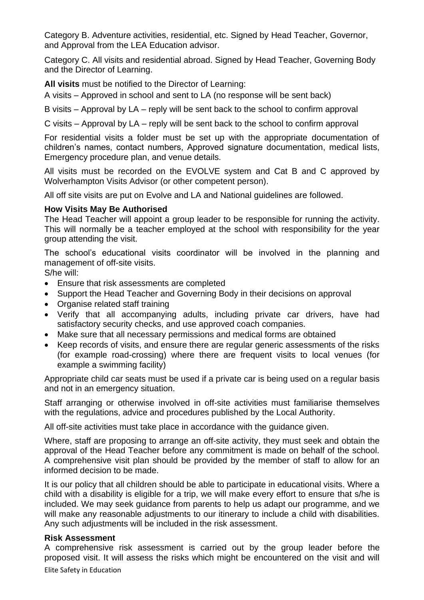Category B. Adventure activities, residential, etc. Signed by Head Teacher, Governor, and Approval from the LEA Education advisor.

Category C. All visits and residential abroad. Signed by Head Teacher, Governing Body and the Director of Learning.

**All visits** must be notified to the Director of Learning:

A visits – Approved in school and sent to LA (no response will be sent back)

B visits – Approval by LA – reply will be sent back to the school to confirm approval

C visits – Approval by LA – reply will be sent back to the school to confirm approval

For residential visits a folder must be set up with the appropriate documentation of children's names, contact numbers, Approved signature documentation, medical lists, Emergency procedure plan, and venue details.

All visits must be recorded on the EVOLVE system and Cat B and C approved by Wolverhampton Visits Advisor (or other competent person).

All off site visits are put on Evolve and LA and National guidelines are followed.

## **How Visits May Be Authorised**

The Head Teacher will appoint a group leader to be responsible for running the activity. This will normally be a teacher employed at the school with responsibility for the year group attending the visit.

The school's educational visits coordinator will be involved in the planning and management of off-site visits.

S/he will:

- Ensure that risk assessments are completed
- Support the Head Teacher and Governing Body in their decisions on approval
- Organise related staff training
- Verify that all accompanying adults, including private car drivers, have had satisfactory security checks, and use approved coach companies.
- Make sure that all necessary permissions and medical forms are obtained
- Keep records of visits, and ensure there are regular generic assessments of the risks (for example road-crossing) where there are frequent visits to local venues (for example a swimming facility)

Appropriate child car seats must be used if a private car is being used on a regular basis and not in an emergency situation.

Staff arranging or otherwise involved in off-site activities must familiarise themselves with the regulations, advice and procedures published by the Local Authority.

All off-site activities must take place in accordance with the guidance given.

Where, staff are proposing to arrange an off-site activity, they must seek and obtain the approval of the Head Teacher before any commitment is made on behalf of the school. A comprehensive visit plan should be provided by the member of staff to allow for an informed decision to be made.

It is our policy that all children should be able to participate in educational visits. Where a child with a disability is eligible for a trip, we will make every effort to ensure that s/he is included. We may seek guidance from parents to help us adapt our programme, and we will make any reasonable adjustments to our itinerary to include a child with disabilities. Any such adjustments will be included in the risk assessment.

## **Risk Assessment**

A comprehensive risk assessment is carried out by the group leader before the proposed visit. It will assess the risks which might be encountered on the visit and will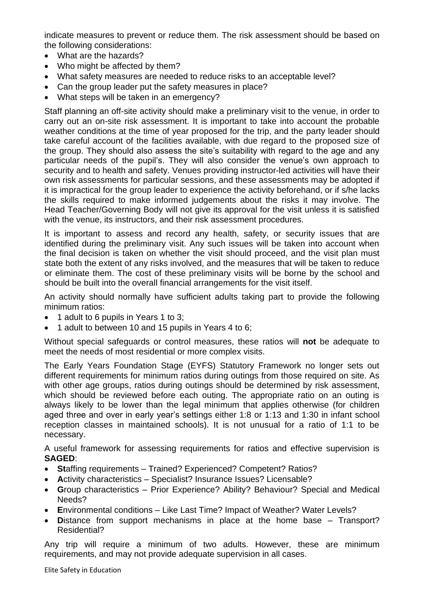indicate measures to prevent or reduce them. The risk assessment should be based on the following considerations:

- What are the hazards?
- Who might be affected by them?
- What safety measures are needed to reduce risks to an acceptable level?
- Can the group leader put the safety measures in place?
- What steps will be taken in an emergency?

Staff planning an off-site activity should make a preliminary visit to the venue, in order to carry out an on-site risk assessment. It is important to take into account the probable weather conditions at the time of year proposed for the trip, and the party leader should take careful account of the facilities available, with due regard to the proposed size of the group. They should also assess the site's suitability with regard to the age and any particular needs of the pupil's. They will also consider the venue's own approach to security and to health and safety. Venues providing instructor-led activities will have their own risk assessments for particular sessions, and these assessments may be adopted if it is impractical for the group leader to experience the activity beforehand, or if s/he lacks the skills required to make informed judgements about the risks it may involve. The Head Teacher/Governing Body will not give its approval for the visit unless it is satisfied with the venue, its instructors, and their risk assessment procedures.

It is important to assess and record any health, safety, or security issues that are identified during the preliminary visit. Any such issues will be taken into account when the final decision is taken on whether the visit should proceed, and the visit plan must state both the extent of any risks involved, and the measures that will be taken to reduce or eliminate them. The cost of these preliminary visits will be borne by the school and should be built into the overall financial arrangements for the visit itself.

An activity should normally have sufficient adults taking part to provide the following minimum ratios:

- 1 adult to 6 pupils in Years 1 to 3:
- 1 adult to between 10 and 15 pupils in Years 4 to 6;

Without special safeguards or control measures, these ratios will **not** be adequate to meet the needs of most residential or more complex visits.

The Early Years Foundation Stage (EYFS) Statutory Framework no longer sets out different requirements for minimum ratios during outings from those required on site. As with other age groups, ratios during outings should be determined by risk assessment, which should be reviewed before each outing. The appropriate ratio on an outing is always likely to be lower than the legal minimum that applies otherwise (for children aged three and over in early year's settings either 1:8 or 1:13 and 1:30 in infant school reception classes in maintained schools). It is not unusual for a ratio of 1:1 to be necessary.

A useful framework for assessing requirements for ratios and effective supervision is **SAGED**:

- **St**affing requirements Trained? Experienced? Competent? Ratios?
- **A**ctivity characteristics Specialist? Insurance Issues? Licensable?
- **G**roup characteristics Prior Experience? Ability? Behaviour? Special and Medical Needs?
- **E**nvironmental conditions Like Last Time? Impact of Weather? Water Levels?
- **D**istance from support mechanisms in place at the home base Transport? Residential?

Any trip will require a minimum of two adults. However, these are minimum requirements, and may not provide adequate supervision in all cases.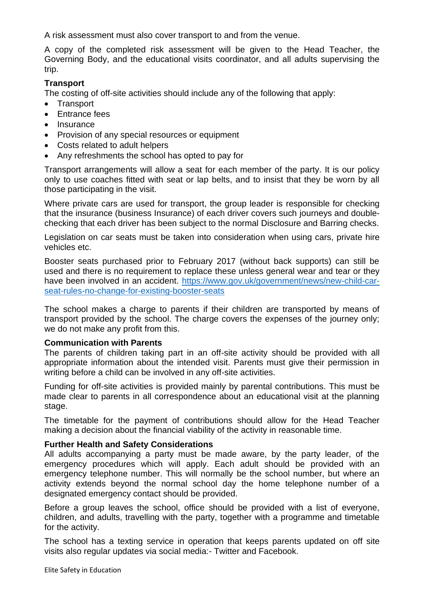A risk assessment must also cover transport to and from the venue.

A copy of the completed risk assessment will be given to the Head Teacher, the Governing Body, and the educational visits coordinator, and all adults supervising the trip.

# **Transport**

The costing of off-site activities should include any of the following that apply:

- Transport
- Entrance fees
- Insurance
- Provision of any special resources or equipment
- Costs related to adult helpers
- Any refreshments the school has opted to pay for

Transport arrangements will allow a seat for each member of the party. It is our policy only to use coaches fitted with seat or lap belts, and to insist that they be worn by all those participating in the visit.

Where private cars are used for transport, the group leader is responsible for checking that the insurance (business Insurance) of each driver covers such journeys and doublechecking that each driver has been subject to the normal Disclosure and Barring checks.

Legislation on car seats must be taken into consideration when using cars, private hire vehicles etc.

Booster seats purchased prior to February 2017 (without back supports) can still be used and there is no requirement to replace these unless general wear and tear or they have been involved in an accident. [https://www.gov.uk/government/news/new-child-car](https://www.gov.uk/government/news/new-child-car-seat-rules-no-change-for-existing-booster-seats)[seat-rules-no-change-for-existing-booster-seats](https://www.gov.uk/government/news/new-child-car-seat-rules-no-change-for-existing-booster-seats)

The school makes a charge to parents if their children are transported by means of transport provided by the school. The charge covers the expenses of the journey only; we do not make any profit from this.

## **Communication with Parents**

The parents of children taking part in an off-site activity should be provided with all appropriate information about the intended visit. Parents must give their permission in writing before a child can be involved in any off-site activities.

Funding for off-site activities is provided mainly by parental contributions. This must be made clear to parents in all correspondence about an educational visit at the planning stage.

The timetable for the payment of contributions should allow for the Head Teacher making a decision about the financial viability of the activity in reasonable time.

## **Further Health and Safety Considerations**

All adults accompanying a party must be made aware, by the party leader, of the emergency procedures which will apply. Each adult should be provided with an emergency telephone number. This will normally be the school number, but where an activity extends beyond the normal school day the home telephone number of a designated emergency contact should be provided.

Before a group leaves the school, office should be provided with a list of everyone, children, and adults, travelling with the party, together with a programme and timetable for the activity.

The school has a texting service in operation that keeps parents updated on off site visits also regular updates via social media:- Twitter and Facebook.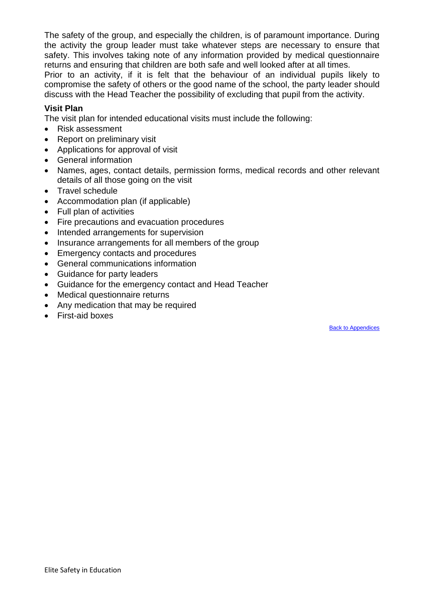The safety of the group, and especially the children, is of paramount importance. During the activity the group leader must take whatever steps are necessary to ensure that safety. This involves taking note of any information provided by medical questionnaire returns and ensuring that children are both safe and well looked after at all times.

Prior to an activity, if it is felt that the behaviour of an individual pupils likely to compromise the safety of others or the good name of the school, the party leader should discuss with the Head Teacher the possibility of excluding that pupil from the activity.

# **Visit Plan**

The visit plan for intended educational visits must include the following:

- Risk assessment
- Report on preliminary visit
- Applications for approval of visit
- General information
- Names, ages, contact details, permission forms, medical records and other relevant details of all those going on the visit
- Travel schedule
- Accommodation plan (if applicable)
- Full plan of activities
- Fire precautions and evacuation procedures
- Intended arrangements for supervision
- Insurance arrangements for all members of the group
- Emergency contacts and procedures
- General communications information
- Guidance for party leaders
- Guidance for the emergency contact and Head Teacher
- Medical questionnaire returns
- Any medication that may be required
- First-aid boxes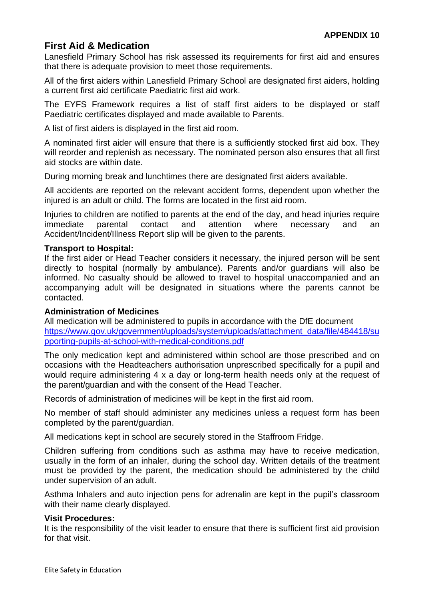# <span id="page-23-0"></span>**First Aid & Medication**

Lanesfield Primary School has risk assessed its requirements for first aid and ensures that there is adequate provision to meet those requirements.

All of the first aiders within Lanesfield Primary School are designated first aiders, holding a current first aid certificate Paediatric first aid work.

The EYFS Framework requires a list of staff first aiders to be displayed or staff Paediatric certificates displayed and made available to Parents.

A list of first aiders is displayed in the first aid room.

A nominated first aider will ensure that there is a sufficiently stocked first aid box. They will reorder and replenish as necessary. The nominated person also ensures that all first aid stocks are within date.

During morning break and lunchtimes there are designated first aiders available.

All accidents are reported on the relevant accident forms, dependent upon whether the injured is an adult or child. The forms are located in the first aid room.

Injuries to children are notified to parents at the end of the day, and head injuries require immediate parental contact and attention where necessary and an Accident/Incident/Illness Report slip will be given to the parents.

# **Transport to Hospital:**

If the first aider or Head Teacher considers it necessary, the injured person will be sent directly to hospital (normally by ambulance). Parents and/or guardians will also be informed. No casualty should be allowed to travel to hospital unaccompanied and an accompanying adult will be designated in situations where the parents cannot be contacted.

## **Administration of Medicines**

All medication will be administered to pupils in accordance with the DfE document [https://www.gov.uk/government/uploads/system/uploads/attachment\\_data/file/484418/su](https://www.gov.uk/government/uploads/system/uploads/attachment_data/file/484418/supporting-pupils-at-school-with-medical-conditions.pdf) [pporting-pupils-at-school-with-medical-conditions.pdf](https://www.gov.uk/government/uploads/system/uploads/attachment_data/file/484418/supporting-pupils-at-school-with-medical-conditions.pdf)

The only medication kept and administered within school are those prescribed and on occasions with the Headteachers authorisation unprescribed specifically for a pupil and would require administering 4 x a day or long-term health needs only at the request of the parent/guardian and with the consent of the Head Teacher.

Records of administration of medicines will be kept in the first aid room.

No member of staff should administer any medicines unless a request form has been completed by the parent/guardian.

All medications kept in school are securely stored in the Staffroom Fridge.

Children suffering from conditions such as asthma may have to receive medication, usually in the form of an inhaler, during the school day. Written details of the treatment must be provided by the parent, the medication should be administered by the child under supervision of an adult.

Asthma Inhalers and auto injection pens for adrenalin are kept in the pupil's classroom with their name clearly displayed.

## **Visit Procedures:**

It is the responsibility of the visit leader to ensure that there is sufficient first aid provision for that visit.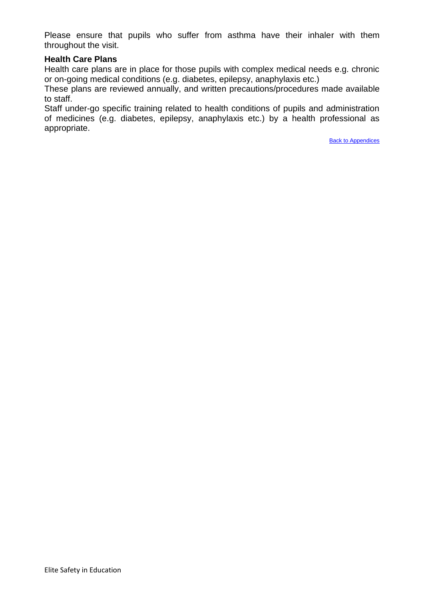Please ensure that pupils who suffer from asthma have their inhaler with them throughout the visit.

#### **Health Care Plans**

Health care plans are in place for those pupils with complex medical needs e.g. chronic or on-going medical conditions (e.g. diabetes, epilepsy, anaphylaxis etc.)

These plans are reviewed annually, and written precautions/procedures made available to staff.

Staff under-go specific training related to health conditions of pupils and administration of medicines (e.g. diabetes, epilepsy, anaphylaxis etc.) by a health professional as appropriate.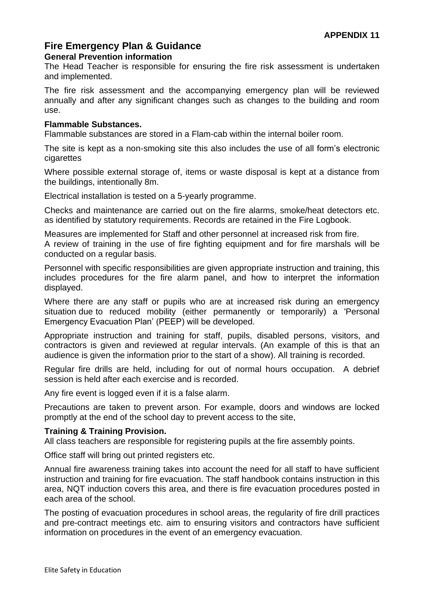# <span id="page-25-0"></span>**Fire Emergency Plan & Guidance General Prevention information**

The Head Teacher is responsible for ensuring the fire risk assessment is undertaken and implemented.

The fire risk assessment and the accompanying emergency plan will be reviewed annually and after any significant changes such as changes to the building and room use.

## **Flammable Substances.**

Flammable substances are stored in a Flam-cab within the internal boiler room.

The site is kept as a non-smoking site this also includes the use of all form's electronic cigarettes

Where possible external storage of, items or waste disposal is kept at a distance from the buildings, intentionally 8m.

Electrical installation is tested on a 5-yearly programme.

Checks and maintenance are carried out on the fire alarms, smoke/heat detectors etc. as identified by statutory requirements. Records are retained in the Fire Logbook.

Measures are implemented for Staff and other personnel at increased risk from fire. A review of training in the use of fire fighting equipment and for fire marshals will be conducted on a regular basis.

Personnel with specific responsibilities are given appropriate instruction and training, this includes procedures for the fire alarm panel, and how to interpret the information displayed.

Where there are any staff or pupils who are at increased risk during an emergency situation due to reduced mobility (either permanently or temporarily) a 'Personal Emergency Evacuation Plan' (PEEP) will be developed.

Appropriate instruction and training for staff, pupils, disabled persons, visitors, and contractors is given and reviewed at regular intervals. (An example of this is that an audience is given the information prior to the start of a show). All training is recorded.

Regular fire drills are held, including for out of normal hours occupation. A debrief session is held after each exercise and is recorded.

Any fire event is logged even if it is a false alarm.

Precautions are taken to prevent arson. For example, doors and windows are locked promptly at the end of the school day to prevent access to the site,

## **Training & Training Provision.**

All class teachers are responsible for registering pupils at the fire assembly points.

Office staff will bring out printed registers etc.

Annual fire awareness training takes into account the need for all staff to have sufficient instruction and training for fire evacuation. The staff handbook contains instruction in this area, NQT induction covers this area, and there is fire evacuation procedures posted in each area of the school.

The posting of evacuation procedures in school areas, the regularity of fire drill practices and pre-contract meetings etc. aim to ensuring visitors and contractors have sufficient information on procedures in the event of an emergency evacuation.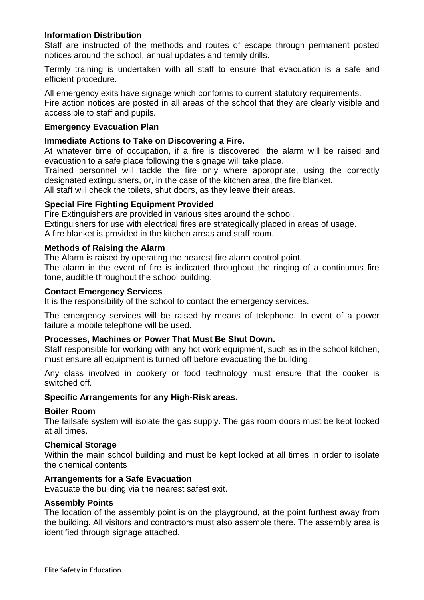## **Information Distribution**

Staff are instructed of the methods and routes of escape through permanent posted notices around the school, annual updates and termly drills.

Termly training is undertaken with all staff to ensure that evacuation is a safe and efficient procedure.

All emergency exits have signage which conforms to current statutory requirements.

Fire action notices are posted in all areas of the school that they are clearly visible and accessible to staff and pupils.

## **Emergency Evacuation Plan**

#### **Immediate Actions to Take on Discovering a Fire.**

At whatever time of occupation, if a fire is discovered, the alarm will be raised and evacuation to a safe place following the signage will take place.

Trained personnel will tackle the fire only where appropriate, using the correctly designated extinguishers, or, in the case of the kitchen area, the fire blanket.

All staff will check the toilets, shut doors, as they leave their areas.

## **Special Fire Fighting Equipment Provided**

Fire Extinguishers are provided in various sites around the school. Extinguishers for use with electrical fires are strategically placed in areas of usage. A fire blanket is provided in the kitchen areas and staff room.

#### **Methods of Raising the Alarm**

The Alarm is raised by operating the nearest fire alarm control point.

The alarm in the event of fire is indicated throughout the ringing of a continuous fire tone, audible throughout the school building.

#### **Contact Emergency Services**

It is the responsibility of the school to contact the emergency services.

The emergency services will be raised by means of telephone. In event of a power failure a mobile telephone will be used.

## **Processes, Machines or Power That Must Be Shut Down.**

Staff responsible for working with any hot work equipment, such as in the school kitchen, must ensure all equipment is turned off before evacuating the building.

Any class involved in cookery or food technology must ensure that the cooker is switched off.

## **Specific Arrangements for any High-Risk areas.**

#### **Boiler Room**

The failsafe system will isolate the gas supply. The gas room doors must be kept locked at all times.

#### **Chemical Storage**

Within the main school building and must be kept locked at all times in order to isolate the chemical contents

## **Arrangements for a Safe Evacuation**

Evacuate the building via the nearest safest exit.

## **Assembly Points**

The location of the assembly point is on the playground, at the point furthest away from the building. All visitors and contractors must also assemble there. The assembly area is identified through signage attached.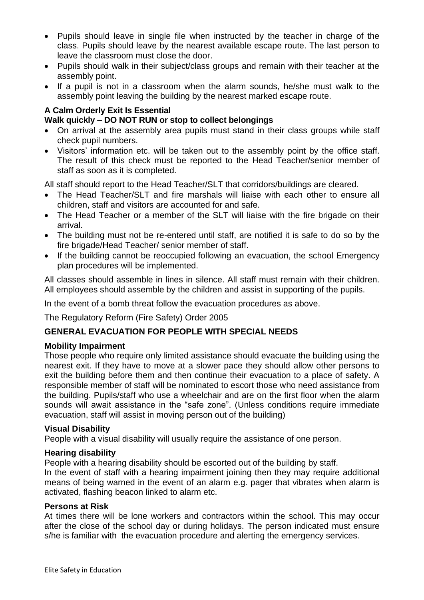- Pupils should leave in single file when instructed by the teacher in charge of the class. Pupils should leave by the nearest available escape route. The last person to leave the classroom must close the door.
- Pupils should walk in their subject/class groups and remain with their teacher at the assembly point.
- If a pupil is not in a classroom when the alarm sounds, he/she must walk to the assembly point leaving the building by the nearest marked escape route.

# **A Calm Orderly Exit Is Essential Walk quickly – DO NOT RUN or stop to collect belongings**

- On arrival at the assembly area pupils must stand in their class groups while staff check pupil numbers.
- Visitors' information etc. will be taken out to the assembly point by the office staff. The result of this check must be reported to the Head Teacher/senior member of staff as soon as it is completed.

All staff should report to the Head Teacher/SLT that corridors/buildings are cleared.

- The Head Teacher/SLT and fire marshals will liaise with each other to ensure all children, staff and visitors are accounted for and safe.
- The Head Teacher or a member of the SLT will liaise with the fire brigade on their arrival.
- The building must not be re-entered until staff, are notified it is safe to do so by the fire brigade/Head Teacher/ senior member of staff.
- If the building cannot be reoccupied following an evacuation, the school Emergency plan procedures will be implemented.

All classes should assemble in lines in silence. All staff must remain with their children. All employees should assemble by the children and assist in supporting of the pupils.

In the event of a bomb threat follow the evacuation procedures as above.

The Regulatory Reform (Fire Safety) Order 2005

# **GENERAL EVACUATION FOR PEOPLE WITH SPECIAL NEEDS**

## **Mobility Impairment**

Those people who require only limited assistance should evacuate the building using the nearest exit. If they have to move at a slower pace they should allow other persons to exit the building before them and then continue their evacuation to a place of safety. A responsible member of staff will be nominated to escort those who need assistance from the building. Pupils/staff who use a wheelchair and are on the first floor when the alarm sounds will await assistance in the "safe zone". (Unless conditions require immediate evacuation, staff will assist in moving person out of the building)

# **Visual Disability**

People with a visual disability will usually require the assistance of one person.

## **Hearing disability**

People with a hearing disability should be escorted out of the building by staff.

In the event of staff with a hearing impairment joining then they may require additional means of being warned in the event of an alarm e.g. pager that vibrates when alarm is activated, flashing beacon linked to alarm etc.

## **Persons at Risk**

At times there will be lone workers and contractors within the school. This may occur after the close of the school day or during holidays. The person indicated must ensure s/he is familiar with the evacuation procedure and alerting the emergency services.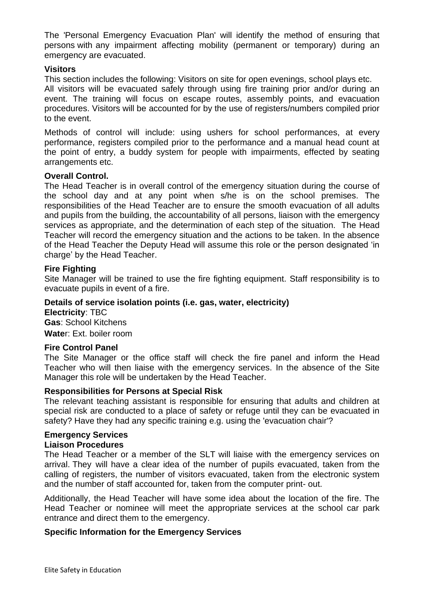The 'Personal Emergency Evacuation Plan' will identify the method of ensuring that persons with any impairment affecting mobility (permanent or temporary) during an emergency are evacuated.

#### **Visitors**

This section includes the following: Visitors on site for open evenings, school plays etc. All visitors will be evacuated safely through using fire training prior and/or during an event. The training will focus on escape routes, assembly points, and evacuation procedures. Visitors will be accounted for by the use of registers/numbers compiled prior to the event.

Methods of control will include: using ushers for school performances, at every performance, registers compiled prior to the performance and a manual head count at the point of entry, a buddy system for people with impairments, effected by seating arrangements etc.

#### **Overall Control.**

The Head Teacher is in overall control of the emergency situation during the course of the school day and at any point when s/he is on the school premises. The responsibilities of the Head Teacher are to ensure the smooth evacuation of all adults and pupils from the building, the accountability of all persons, liaison with the emergency services as appropriate, and the determination of each step of the situation. The Head Teacher will record the emergency situation and the actions to be taken. In the absence of the Head Teacher the Deputy Head will assume this role or the person designated 'in charge' by the Head Teacher.

## **Fire Fighting**

Site Manager will be trained to use the fire fighting equipment. Staff responsibility is to evacuate pupils in event of a fire.

## **Details of service isolation points (i.e. gas, water, electricity)**

**Electricity**: TBC **Gas**: School Kitchens **Wate**r: Ext. boiler room

#### **Fire Control Panel**

The Site Manager or the office staff will check the fire panel and inform the Head Teacher who will then liaise with the emergency services. In the absence of the Site Manager this role will be undertaken by the Head Teacher.

#### **Responsibilities for Persons at Special Risk**

The relevant teaching assistant is responsible for ensuring that adults and children at special risk are conducted to a place of safety or refuge until they can be evacuated in safety? Have they had any specific training e.g. using the 'evacuation chair'?

#### **Emergency Services Liaison Procedures**

The Head Teacher or a member of the SLT will liaise with the emergency services on arrival. They will have a clear idea of the number of pupils evacuated, taken from the calling of registers, the number of visitors evacuated, taken from the electronic system and the number of staff accounted for, taken from the computer print- out.

Additionally, the Head Teacher will have some idea about the location of the fire. The Head Teacher or nominee will meet the appropriate services at the school car park entrance and direct them to the emergency.

## **Specific Information for the Emergency Services**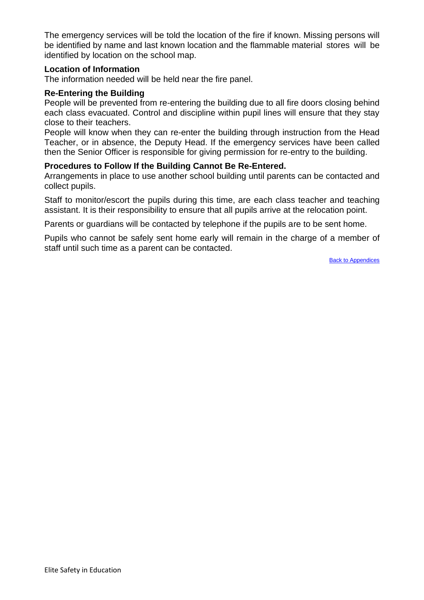The emergency services will be told the location of the fire if known. Missing persons will be identified by name and last known location and the flammable material stores will be identified by location on the school map.

#### **Location of Information**

The information needed will be held near the fire panel.

## **Re-Entering the Building**

People will be prevented from re-entering the building due to all fire doors closing behind each class evacuated. Control and discipline within pupil lines will ensure that they stay close to their teachers.

People will know when they can re-enter the building through instruction from the Head Teacher, or in absence, the Deputy Head. If the emergency services have been called then the Senior Officer is responsible for giving permission for re-entry to the building.

#### **Procedures to Follow If the Building Cannot Be Re-Entered.**

Arrangements in place to use another school building until parents can be contacted and collect pupils.

Staff to monitor/escort the pupils during this time, are each class teacher and teaching assistant. It is their responsibility to ensure that all pupils arrive at the relocation point.

Parents or guardians will be contacted by telephone if the pupils are to be sent home.

Pupils who cannot be safely sent home early will remain in the charge of a member of staff until such time as a parent can be contacted.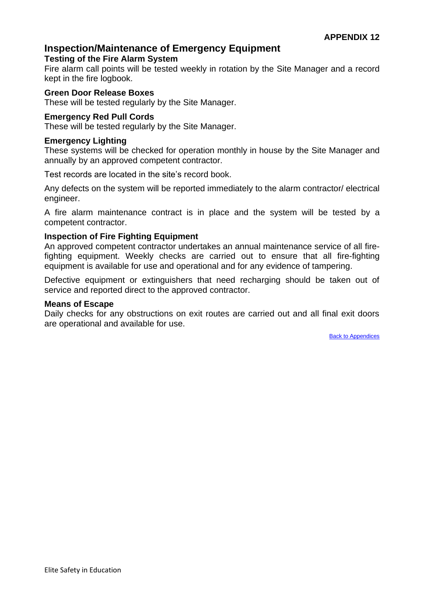# <span id="page-30-0"></span>**Inspection/Maintenance of Emergency Equipment**

## **Testing of the Fire Alarm System**

Fire alarm call points will be tested weekly in rotation by the Site Manager and a record kept in the fire logbook.

#### **Green Door Release Boxes**

These will be tested regularly by the Site Manager.

#### **Emergency Red Pull Cords**

These will be tested regularly by the Site Manager.

#### **Emergency Lighting**

These systems will be checked for operation monthly in house by the Site Manager and annually by an approved competent contractor.

Test records are located in the site's record book.

Any defects on the system will be reported immediately to the alarm contractor/ electrical engineer.

A fire alarm maintenance contract is in place and the system will be tested by a competent contractor.

#### **Inspection of Fire Fighting Equipment**

An approved competent contractor undertakes an annual maintenance service of all firefighting equipment. Weekly checks are carried out to ensure that all fire-fighting equipment is available for use and operational and for any evidence of tampering.

Defective equipment or extinguishers that need recharging should be taken out of service and reported direct to the approved contractor.

#### **Means of Escape**

Daily checks for any obstructions on exit routes are carried out and all final exit doors are operational and available for use.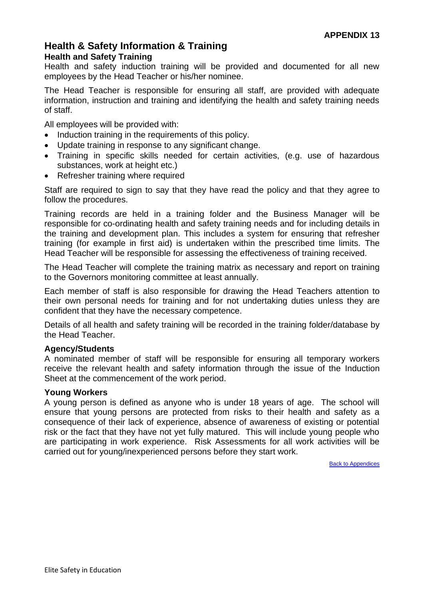# <span id="page-31-0"></span>**Health & Safety Information & Training Health and Safety Training**

Health and safety induction training will be provided and documented for all new employees by the Head Teacher or his/her nominee.

The Head Teacher is responsible for ensuring all staff, are provided with adequate information, instruction and training and identifying the health and safety training needs of staff.

All employees will be provided with:

- Induction training in the requirements of this policy.
- Update training in response to any significant change.
- Training in specific skills needed for certain activities, (e.g. use of hazardous substances, work at height etc.)
- Refresher training where required

Staff are required to sign to say that they have read the policy and that they agree to follow the procedures.

Training records are held in a training folder and the Business Manager will be responsible for co-ordinating health and safety training needs and for including details in the training and development plan. This includes a system for ensuring that refresher training (for example in first aid) is undertaken within the prescribed time limits. The Head Teacher will be responsible for assessing the effectiveness of training received.

The Head Teacher will complete the training matrix as necessary and report on training to the Governors monitoring committee at least annually.

Each member of staff is also responsible for drawing the Head Teachers attention to their own personal needs for training and for not undertaking duties unless they are confident that they have the necessary competence.

Details of all health and safety training will be recorded in the training folder/database by the Head Teacher.

## **Agency/Students**

A nominated member of staff will be responsible for ensuring all temporary workers receive the relevant health and safety information through the issue of the Induction Sheet at the commencement of the work period.

## **Young Workers**

A young person is defined as anyone who is under 18 years of age. The school will ensure that young persons are protected from risks to their health and safety as a consequence of their lack of experience, absence of awareness of existing or potential risk or the fact that they have not yet fully matured. This will include young people who are participating in work experience. Risk Assessments for all work activities will be carried out for young/inexperienced persons before they start work.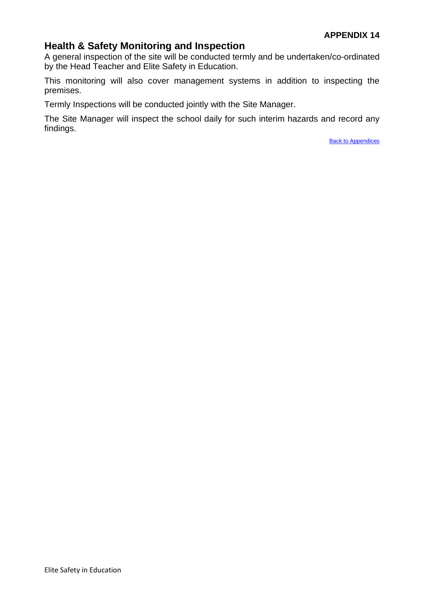# <span id="page-32-0"></span>**Health & Safety Monitoring and Inspection**

A general inspection of the site will be conducted termly and be undertaken/co-ordinated by the Head Teacher and Elite Safety in Education.

This monitoring will also cover management systems in addition to inspecting the premises.

Termly Inspections will be conducted jointly with the Site Manager.

The Site Manager will inspect the school daily for such interim hazards and record any findings.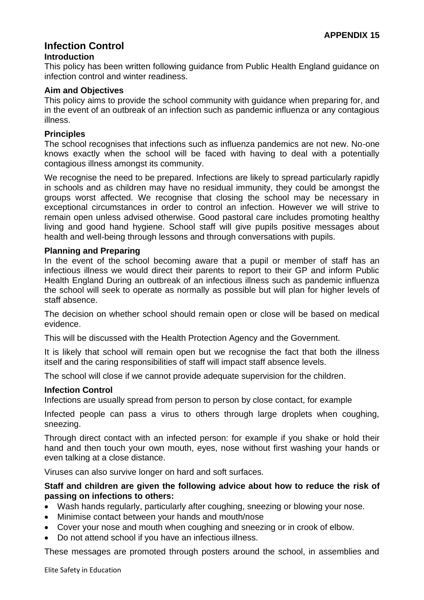# <span id="page-33-0"></span>**Infection Control**

## **Introduction**

This policy has been written following guidance from Public Health England guidance on infection control and winter readiness.

# **Aim and Objectives**

This policy aims to provide the school community with guidance when preparing for, and in the event of an outbreak of an infection such as pandemic influenza or any contagious illness.

# **Principles**

The school recognises that infections such as influenza pandemics are not new. No-one knows exactly when the school will be faced with having to deal with a potentially contagious illness amongst its community.

We recognise the need to be prepared. Infections are likely to spread particularly rapidly in schools and as children may have no residual immunity, they could be amongst the groups worst affected. We recognise that closing the school may be necessary in exceptional circumstances in order to control an infection. However we will strive to remain open unless advised otherwise. Good pastoral care includes promoting healthy living and good hand hygiene. School staff will give pupils positive messages about health and well-being through lessons and through conversations with pupils.

# **Planning and Preparing**

In the event of the school becoming aware that a pupil or member of staff has an infectious illness we would direct their parents to report to their GP and inform Public Health England During an outbreak of an infectious illness such as pandemic influenza the school will seek to operate as normally as possible but will plan for higher levels of staff absence.

The decision on whether school should remain open or close will be based on medical evidence.

This will be discussed with the Health Protection Agency and the Government.

It is likely that school will remain open but we recognise the fact that both the illness itself and the caring responsibilities of staff will impact staff absence levels.

The school will close if we cannot provide adequate supervision for the children.

## **Infection Control**

Infections are usually spread from person to person by close contact, for example

Infected people can pass a virus to others through large droplets when coughing, sneezing.

Through direct contact with an infected person: for example if you shake or hold their hand and then touch your own mouth, eyes, nose without first washing your hands or even talking at a close distance.

Viruses can also survive longer on hard and soft surfaces.

## **Staff and children are given the following advice about how to reduce the risk of passing on infections to others:**

- Wash hands regularly, particularly after coughing, sneezing or blowing your nose.
- Minimise contact between your hands and mouth/nose
- Cover your nose and mouth when coughing and sneezing or in crook of elbow.
- Do not attend school if you have an infectious illness.

These messages are promoted through posters around the school, in assemblies and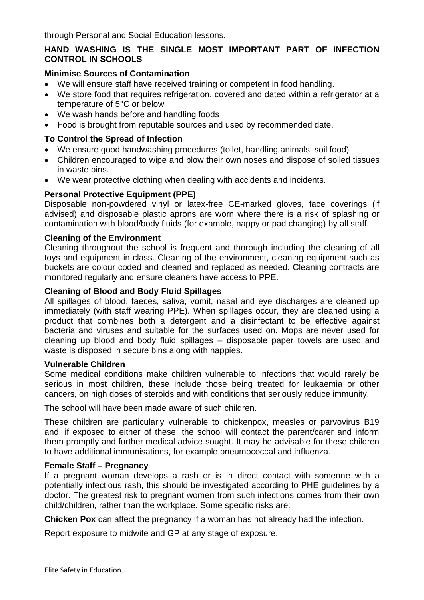through Personal and Social Education lessons.

# **HAND WASHING IS THE SINGLE MOST IMPORTANT PART OF INFECTION CONTROL IN SCHOOLS**

## **Minimise Sources of Contamination**

- We will ensure staff have received training or competent in food handling.
- We store food that requires refrigeration, covered and dated within a refrigerator at a temperature of 5°C or below
- We wash hands before and handling foods
- Food is brought from reputable sources and used by recommended date.

# **To Control the Spread of Infection**

- We ensure good handwashing procedures (toilet, handling animals, soil food)
- Children encouraged to wipe and blow their own noses and dispose of soiled tissues in waste bins.
- We wear protective clothing when dealing with accidents and incidents.

# **Personal Protective Equipment (PPE)**

Disposable non-powdered vinyl or latex-free CE-marked gloves, face coverings (if advised) and disposable plastic aprons are worn where there is a risk of splashing or contamination with blood/body fluids (for example, nappy or pad changing) by all staff.

#### **Cleaning of the Environment**

Cleaning throughout the school is frequent and thorough including the cleaning of all toys and equipment in class. Cleaning of the environment, cleaning equipment such as buckets are colour coded and cleaned and replaced as needed. Cleaning contracts are monitored regularly and ensure cleaners have access to PPE.

#### **Cleaning of Blood and Body Fluid Spillages**

All spillages of blood, faeces, saliva, vomit, nasal and eye discharges are cleaned up immediately (with staff wearing PPE). When spillages occur, they are cleaned using a product that combines both a detergent and a disinfectant to be effective against bacteria and viruses and suitable for the surfaces used on. Mops are never used for cleaning up blood and body fluid spillages – disposable paper towels are used and waste is disposed in secure bins along with nappies.

#### **Vulnerable Children**

Some medical conditions make children vulnerable to infections that would rarely be serious in most children, these include those being treated for leukaemia or other cancers, on high doses of steroids and with conditions that seriously reduce immunity.

The school will have been made aware of such children.

These children are particularly vulnerable to chickenpox, measles or parvovirus B19 and, if exposed to either of these, the school will contact the parent/carer and inform them promptly and further medical advice sought. It may be advisable for these children to have additional immunisations, for example pneumococcal and influenza.

## **Female Staff – Pregnancy**

If a pregnant woman develops a rash or is in direct contact with someone with a potentially infectious rash, this should be investigated according to PHE guidelines by a doctor. The greatest risk to pregnant women from such infections comes from their own child/children, rather than the workplace. Some specific risks are:

**Chicken Pox** can affect the pregnancy if a woman has not already had the infection.

Report exposure to midwife and GP at any stage of exposure.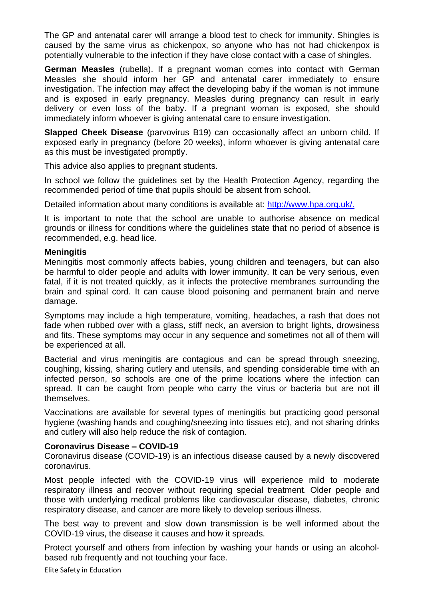The GP and antenatal carer will arrange a blood test to check for immunity. Shingles is caused by the same virus as chickenpox, so anyone who has not had chickenpox is potentially vulnerable to the infection if they have close contact with a case of shingles.

**German Measles** (rubella). If a pregnant woman comes into contact with German Measles she should inform her GP and antenatal carer immediately to ensure investigation. The infection may affect the developing baby if the woman is not immune and is exposed in early pregnancy. Measles during pregnancy can result in early delivery or even loss of the baby. If a pregnant woman is exposed, she should immediately inform whoever is giving antenatal care to ensure investigation.

**Slapped Cheek Disease** (parvovirus B19) can occasionally affect an unborn child. If exposed early in pregnancy (before 20 weeks), inform whoever is giving antenatal care as this must be investigated promptly.

This advice also applies to pregnant students.

In school we follow the guidelines set by the Health Protection Agency, regarding the recommended period of time that pupils should be absent from school.

Detailed information about many conditions is available at: [http://www.hpa.org.uk/.](http://www.hpa.org.uk/)

It is important to note that the school are unable to authorise absence on medical grounds or illness for conditions where the guidelines state that no period of absence is recommended, e.g. head lice.

#### **Meningitis**

Meningitis most commonly affects babies, young children and teenagers, but can also be harmful to older people and adults with lower immunity. It can be very serious, even fatal, if it is not treated quickly, as it infects the protective membranes surrounding the brain and spinal cord. It can cause blood poisoning and permanent brain and nerve damage.

Symptoms may include a high temperature, vomiting, headaches, a rash that does not fade when rubbed over with a glass, stiff neck, an aversion to bright lights, drowsiness and fits. These symptoms may occur in any sequence and sometimes not all of them will be experienced at all.

Bacterial and virus meningitis are contagious and can be spread through sneezing, coughing, kissing, sharing cutlery and utensils, and spending considerable time with an infected person, so schools are one of the prime locations where the infection can spread. It can be caught from people who carry the virus or bacteria but are not ill themselves.

Vaccinations are available for several types of meningitis but practicing good personal hygiene (washing hands and coughing/sneezing into tissues etc), and not sharing drinks and cutlery will also help reduce the risk of contagion.

#### **Coronavirus Disease – COVID-19**

Coronavirus disease (COVID-19) is an infectious disease caused by a newly discovered coronavirus.

Most people infected with the COVID-19 virus will experience mild to moderate respiratory illness and recover without requiring special treatment. Older people and those with underlying medical problems like cardiovascular disease, diabetes, chronic respiratory disease, and cancer are more likely to develop serious illness.

The best way to prevent and slow down transmission is be well informed about the COVID-19 virus, the disease it causes and how it spreads.

Protect yourself and others from infection by washing your hands or using an alcoholbased rub frequently and not touching your face.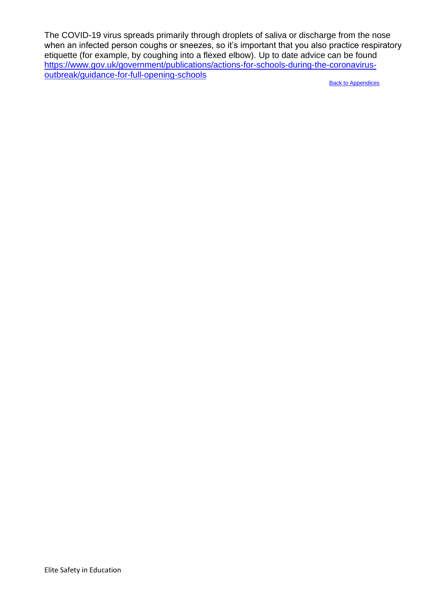The COVID-19 virus spreads primarily through droplets of saliva or discharge from the nose when an infected person coughs or sneezes, so it's important that you also practice respiratory etiquette (for example, by coughing into a flexed elbow). Up to date advice can be found [https://www.gov.uk/government/publications/actions-for-schools-during-the-coronavirus](https://www.gov.uk/government/publications/actions-for-schools-during-the-coronavirus-outbreak/guidance-for-full-opening-schools)[outbreak/guidance-for-full-opening-schools](https://www.gov.uk/government/publications/actions-for-schools-during-the-coronavirus-outbreak/guidance-for-full-opening-schools)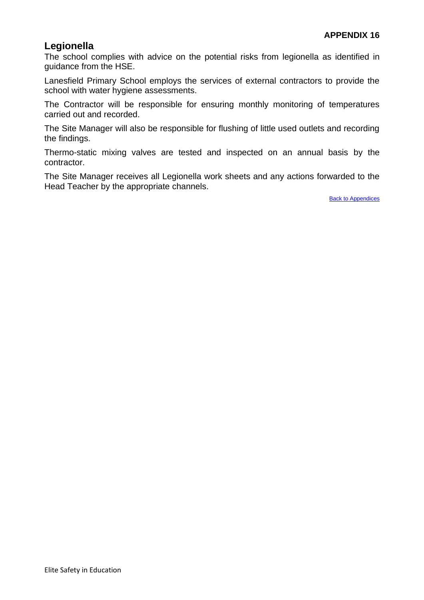# <span id="page-37-0"></span>**Legionella**

The school complies with advice on the potential risks from legionella as identified in guidance from the HSE.

Lanesfield Primary School employs the services of external contractors to provide the school with water hygiene assessments.

The Contractor will be responsible for ensuring monthly monitoring of temperatures carried out and recorded.

The Site Manager will also be responsible for flushing of little used outlets and recording the findings.

Thermo-static mixing valves are tested and inspected on an annual basis by the contractor.

The Site Manager receives all Legionella work sheets and any actions forwarded to the Head Teacher by the appropriate channels.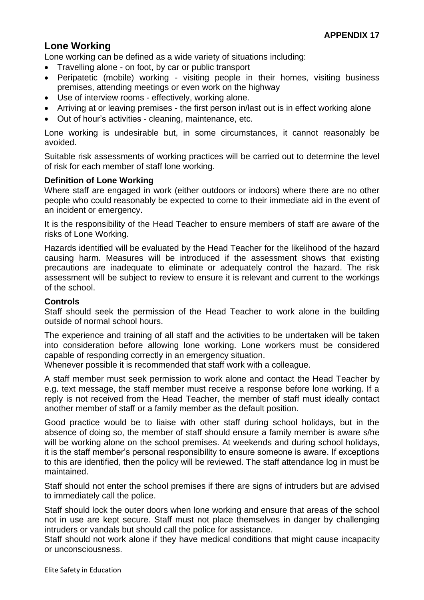# <span id="page-38-0"></span>**Lone Working**

Lone working can be defined as a wide variety of situations including:

- Travelling alone on foot, by car or public transport
- Peripatetic (mobile) working visiting people in their homes, visiting business premises, attending meetings or even work on the highway
- Use of interview rooms effectively, working alone.
- Arriving at or leaving premises the first person in/last out is in effect working alone
- Out of hour's activities cleaning, maintenance, etc.

Lone working is undesirable but, in some circumstances, it cannot reasonably be avoided.

Suitable risk assessments of working practices will be carried out to determine the level of risk for each member of staff lone working.

# **Definition of Lone Working**

Where staff are engaged in work (either outdoors or indoors) where there are no other people who could reasonably be expected to come to their immediate aid in the event of an incident or emergency.

It is the responsibility of the Head Teacher to ensure members of staff are aware of the risks of Lone Working.

Hazards identified will be evaluated by the Head Teacher for the likelihood of the hazard causing harm. Measures will be introduced if the assessment shows that existing precautions are inadequate to eliminate or adequately control the hazard. The risk assessment will be subject to review to ensure it is relevant and current to the workings of the school.

## **Controls**

Staff should seek the permission of the Head Teacher to work alone in the building outside of normal school hours.

The experience and training of all staff and the activities to be undertaken will be taken into consideration before allowing lone working. Lone workers must be considered capable of responding correctly in an emergency situation.

Whenever possible it is recommended that staff work with a colleague.

A staff member must seek permission to work alone and contact the Head Teacher by e.g. text message, the staff member must receive a response before lone working. If a reply is not received from the Head Teacher, the member of staff must ideally contact another member of staff or a family member as the default position.

Good practice would be to liaise with other staff during school holidays, but in the absence of doing so, the member of staff should ensure a family member is aware s/he will be working alone on the school premises. At weekends and during school holidays, it is the staff member's personal responsibility to ensure someone is aware. If exceptions to this are identified, then the policy will be reviewed. The staff attendance log in must be maintained.

Staff should not enter the school premises if there are signs of intruders but are advised to immediately call the police.

Staff should lock the outer doors when lone working and ensure that areas of the school not in use are kept secure. Staff must not place themselves in danger by challenging intruders or vandals but should call the police for assistance.

Staff should not work alone if they have medical conditions that might cause incapacity or unconsciousness.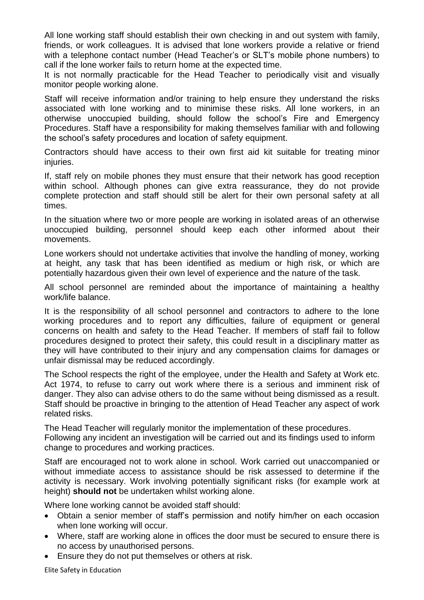All lone working staff should establish their own checking in and out system with family, friends, or work colleagues. It is advised that lone workers provide a relative or friend with a telephone contact number (Head Teacher's or SLT's mobile phone numbers) to call if the lone worker fails to return home at the expected time.

It is not normally practicable for the Head Teacher to periodically visit and visually monitor people working alone.

Staff will receive information and/or training to help ensure they understand the risks associated with lone working and to minimise these risks. All lone workers, in an otherwise unoccupied building, should follow the school's Fire and Emergency Procedures. Staff have a responsibility for making themselves familiar with and following the school's safety procedures and location of safety equipment.

Contractors should have access to their own first aid kit suitable for treating minor injuries.

If, staff rely on mobile phones they must ensure that their network has good reception within school. Although phones can give extra reassurance, they do not provide complete protection and staff should still be alert for their own personal safety at all times.

In the situation where two or more people are working in isolated areas of an otherwise unoccupied building, personnel should keep each other informed about their movements.

Lone workers should not undertake activities that involve the handling of money, working at height, any task that has been identified as medium or high risk, or which are potentially hazardous given their own level of experience and the nature of the task.

All school personnel are reminded about the importance of maintaining a healthy work/life balance.

It is the responsibility of all school personnel and contractors to adhere to the lone working procedures and to report any difficulties, failure of equipment or general concerns on health and safety to the Head Teacher. If members of staff fail to follow procedures designed to protect their safety, this could result in a disciplinary matter as they will have contributed to their injury and any compensation claims for damages or unfair dismissal may be reduced accordingly.

The School respects the right of the employee, under the Health and Safety at Work etc. Act 1974, to refuse to carry out work where there is a serious and imminent risk of danger. They also can advise others to do the same without being dismissed as a result. Staff should be proactive in bringing to the attention of Head Teacher any aspect of work related risks.

The Head Teacher will regularly monitor the implementation of these procedures. Following any incident an investigation will be carried out and its findings used to inform change to procedures and working practices.

Staff are encouraged not to work alone in school. Work carried out unaccompanied or without immediate access to assistance should be risk assessed to determine if the activity is necessary. Work involving potentially significant risks (for example work at height) **should not** be undertaken whilst working alone.

Where lone working cannot be avoided staff should:

- Obtain a senior member of staff's permission and notify him/her on each occasion when lone working will occur.
- Where, staff are working alone in offices the door must be secured to ensure there is no access by unauthorised persons.
- Ensure they do not put themselves or others at risk.

Elite Safety in Education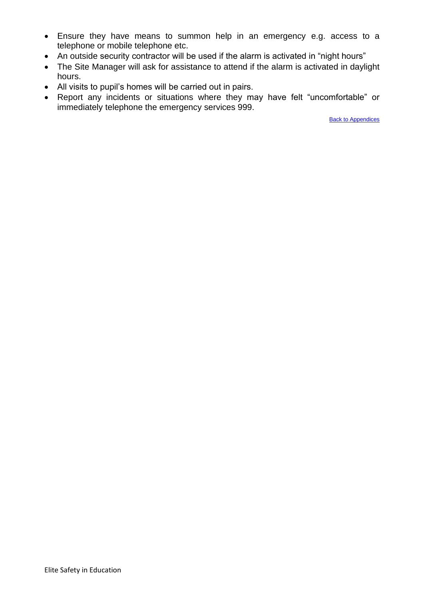- Ensure they have means to summon help in an emergency e.g. access to a telephone or mobile telephone etc.
- An outside security contractor will be used if the alarm is activated in "night hours"
- The Site Manager will ask for assistance to attend if the alarm is activated in daylight hours.
- All visits to pupil's homes will be carried out in pairs.
- Report any incidents or situations where they may have felt "uncomfortable" or immediately telephone the emergency services 999.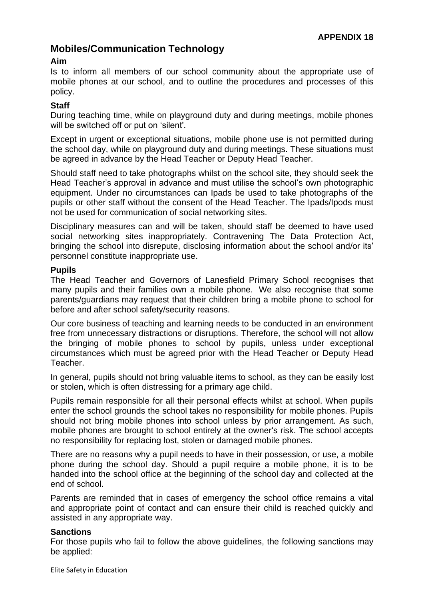# <span id="page-41-0"></span>**Mobiles/Communication Technology**

# **Aim**

Is to inform all members of our school community about the appropriate use of mobile phones at our school, and to outline the procedures and processes of this policy.

# **Staff**

During teaching time, while on playground duty and during meetings, mobile phones will be switched off or put on 'silent'.

Except in urgent or exceptional situations, mobile phone use is not permitted during the school day, while on playground duty and during meetings. These situations must be agreed in advance by the Head Teacher or Deputy Head Teacher.

Should staff need to take photographs whilst on the school site, they should seek the Head Teacher's approval in advance and must utilise the school's own photographic equipment. Under no circumstances can Ipads be used to take photographs of the pupils or other staff without the consent of the Head Teacher. The Ipads/Ipods must not be used for communication of social networking sites.

Disciplinary measures can and will be taken, should staff be deemed to have used social networking sites inappropriately. Contravening The Data Protection Act, bringing the school into disrepute, disclosing information about the school and/or its' personnel constitute inappropriate use.

## **Pupils**

The Head Teacher and Governors of Lanesfield Primary School recognises that many pupils and their families own a mobile phone. We also recognise that some parents/guardians may request that their children bring a mobile phone to school for before and after school safety/security reasons.

Our core business of teaching and learning needs to be conducted in an environment free from unnecessary distractions or disruptions. Therefore, the school will not allow the bringing of mobile phones to school by pupils, unless under exceptional circumstances which must be agreed prior with the Head Teacher or Deputy Head Teacher.

In general, pupils should not bring valuable items to school, as they can be easily lost or stolen, which is often distressing for a primary age child.

Pupils remain responsible for all their personal effects whilst at school. When pupils enter the school grounds the school takes no responsibility for mobile phones. Pupils should not bring mobile phones into school unless by prior arrangement. As such, mobile phones are brought to school entirely at the owner's risk. The school accepts no responsibility for replacing lost, stolen or damaged mobile phones.

There are no reasons why a pupil needs to have in their possession, or use, a mobile phone during the school day. Should a pupil require a mobile phone, it is to be handed into the school office at the beginning of the school day and collected at the end of school.

Parents are reminded that in cases of emergency the school office remains a vital and appropriate point of contact and can ensure their child is reached quickly and assisted in any appropriate way.

## **Sanctions**

For those pupils who fail to follow the above guidelines, the following sanctions may be applied: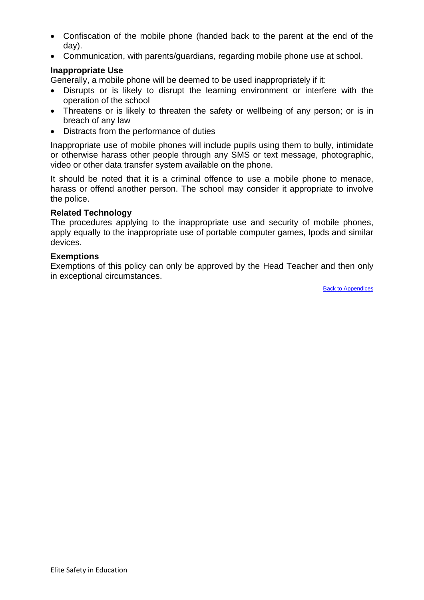- Confiscation of the mobile phone (handed back to the parent at the end of the day).
- Communication, with parents/guardians, regarding mobile phone use at school.

## **Inappropriate Use**

Generally, a mobile phone will be deemed to be used inappropriately if it:

- Disrupts or is likely to disrupt the learning environment or interfere with the operation of the school
- Threatens or is likely to threaten the safety or wellbeing of any person; or is in breach of any law
- Distracts from the performance of duties

Inappropriate use of mobile phones will include pupils using them to bully, intimidate or otherwise harass other people through any SMS or text message, photographic, video or other data transfer system available on the phone.

It should be noted that it is a criminal offence to use a mobile phone to menace, harass or offend another person. The school may consider it appropriate to involve the police.

#### **Related Technology**

The procedures applying to the inappropriate use and security of mobile phones, apply equally to the inappropriate use of portable computer games, Ipods and similar devices.

#### **Exemptions**

Exemptions of this policy can only be approved by the Head Teacher and then only in exceptional circumstances.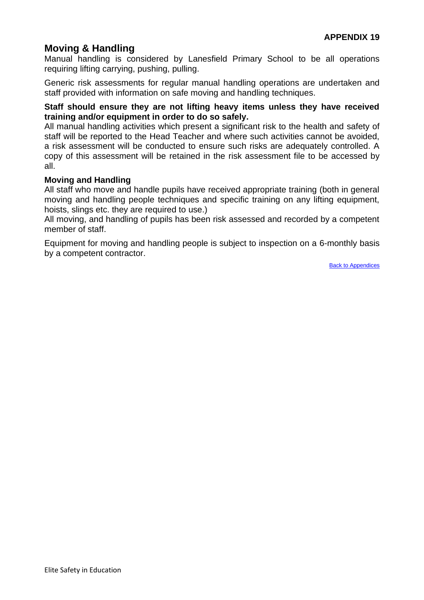# <span id="page-43-0"></span>**Moving & Handling**

Manual handling is considered by Lanesfield Primary School to be all operations requiring lifting carrying, pushing, pulling.

Generic risk assessments for regular manual handling operations are undertaken and staff provided with information on safe moving and handling techniques.

#### **Staff should ensure they are not lifting heavy items unless they have received training and/or equipment in order to do so safely.**

All manual handling activities which present a significant risk to the health and safety of staff will be reported to the Head Teacher and where such activities cannot be avoided, a risk assessment will be conducted to ensure such risks are adequately controlled. A copy of this assessment will be retained in the risk assessment file to be accessed by all.

## **Moving and Handling**

All staff who move and handle pupils have received appropriate training (both in general moving and handling people techniques and specific training on any lifting equipment. hoists, slings etc. they are required to use.)

All moving, and handling of pupils has been risk assessed and recorded by a competent member of staff.

Equipment for moving and handling people is subject to inspection on a 6-monthly basis by a competent contractor.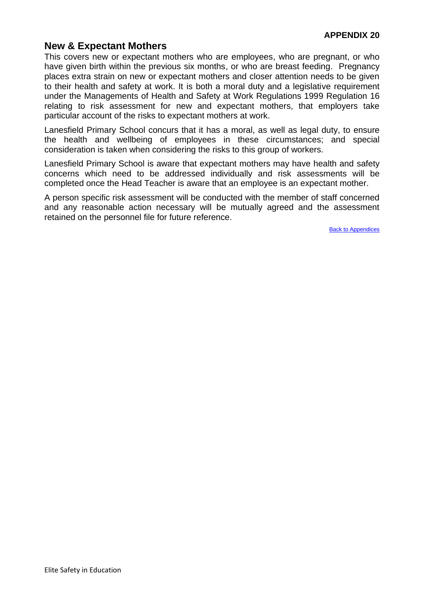# <span id="page-44-0"></span>**New & Expectant Mothers**

This covers new or expectant mothers who are employees, who are pregnant, or who have given birth within the previous six months, or who are breast feeding. Pregnancy places extra strain on new or expectant mothers and closer attention needs to be given to their health and safety at work. It is both a moral duty and a legislative requirement under the Managements of Health and Safety at Work Regulations 1999 Regulation 16 relating to risk assessment for new and expectant mothers, that employers take particular account of the risks to expectant mothers at work.

Lanesfield Primary School concurs that it has a moral, as well as legal duty, to ensure the health and wellbeing of employees in these circumstances; and special consideration is taken when considering the risks to this group of workers.

Lanesfield Primary School is aware that expectant mothers may have health and safety concerns which need to be addressed individually and risk assessments will be completed once the Head Teacher is aware that an employee is an expectant mother.

A person specific risk assessment will be conducted with the member of staff concerned and any reasonable action necessary will be mutually agreed and the assessment retained on the personnel file for future reference.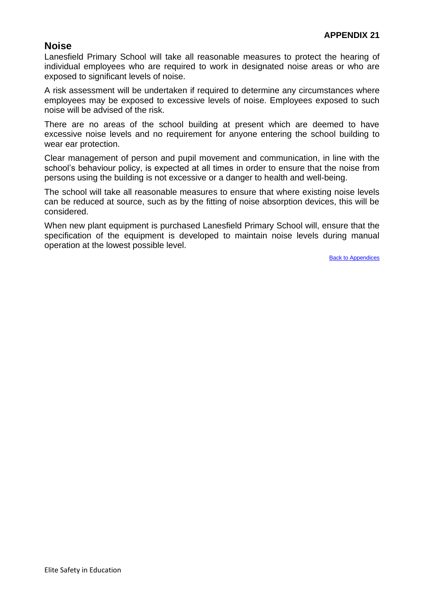# <span id="page-45-0"></span>**Noise**

Lanesfield Primary School will take all reasonable measures to protect the hearing of individual employees who are required to work in designated noise areas or who are exposed to significant levels of noise.

A risk assessment will be undertaken if required to determine any circumstances where employees may be exposed to excessive levels of noise. Employees exposed to such noise will be advised of the risk.

There are no areas of the school building at present which are deemed to have excessive noise levels and no requirement for anyone entering the school building to wear ear protection.

Clear management of person and pupil movement and communication, in line with the school's behaviour policy, is expected at all times in order to ensure that the noise from persons using the building is not excessive or a danger to health and well-being.

The school will take all reasonable measures to ensure that where existing noise levels can be reduced at source, such as by the fitting of noise absorption devices, this will be considered.

When new plant equipment is purchased Lanesfield Primary School will, ensure that the specification of the equipment is developed to maintain noise levels during manual operation at the lowest possible level.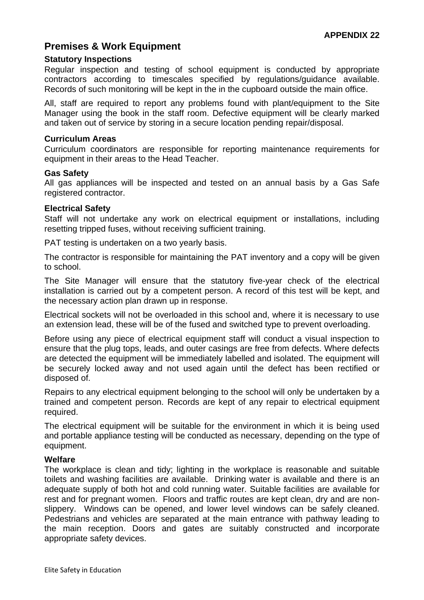# <span id="page-46-0"></span>**Premises & Work Equipment**

#### **Statutory Inspections**

Regular inspection and testing of school equipment is conducted by appropriate contractors according to timescales specified by regulations/guidance available. Records of such monitoring will be kept in the in the cupboard outside the main office.

All, staff are required to report any problems found with plant/equipment to the Site Manager using the book in the staff room. Defective equipment will be clearly marked and taken out of service by storing in a secure location pending repair/disposal.

#### **Curriculum Areas**

Curriculum coordinators are responsible for reporting maintenance requirements for equipment in their areas to the Head Teacher.

#### **Gas Safety**

All gas appliances will be inspected and tested on an annual basis by a Gas Safe registered contractor.

#### **Electrical Safety**

Staff will not undertake any work on electrical equipment or installations, including resetting tripped fuses, without receiving sufficient training.

PAT testing is undertaken on a two yearly basis.

The contractor is responsible for maintaining the PAT inventory and a copy will be given to school.

The Site Manager will ensure that the statutory five-year check of the electrical installation is carried out by a competent person. A record of this test will be kept, and the necessary action plan drawn up in response.

Electrical sockets will not be overloaded in this school and, where it is necessary to use an extension lead, these will be of the fused and switched type to prevent overloading.

Before using any piece of electrical equipment staff will conduct a visual inspection to ensure that the plug tops, leads, and outer casings are free from defects. Where defects are detected the equipment will be immediately labelled and isolated. The equipment will be securely locked away and not used again until the defect has been rectified or disposed of.

Repairs to any electrical equipment belonging to the school will only be undertaken by a trained and competent person. Records are kept of any repair to electrical equipment required.

The electrical equipment will be suitable for the environment in which it is being used and portable appliance testing will be conducted as necessary, depending on the type of equipment.

#### **Welfare**

The workplace is clean and tidy; lighting in the workplace is reasonable and suitable toilets and washing facilities are available. Drinking water is available and there is an adequate supply of both hot and cold running water. Suitable facilities are available for rest and for pregnant women. Floors and traffic routes are kept clean, dry and are nonslippery. Windows can be opened, and lower level windows can be safely cleaned. Pedestrians and vehicles are separated at the main entrance with pathway leading to the main reception. Doors and gates are suitably constructed and incorporate appropriate safety devices.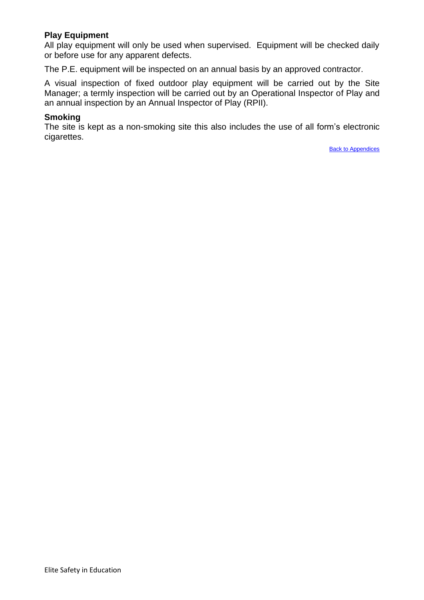# **Play Equipment**

All play equipment will only be used when supervised. Equipment will be checked daily or before use for any apparent defects.

The P.E. equipment will be inspected on an annual basis by an approved contractor.

A visual inspection of fixed outdoor play equipment will be carried out by the Site Manager; a termly inspection will be carried out by an Operational Inspector of Play and an annual inspection by an Annual Inspector of Play (RPII).

#### **Smoking**

The site is kept as a non-smoking site this also includes the use of all form's electronic cigarettes.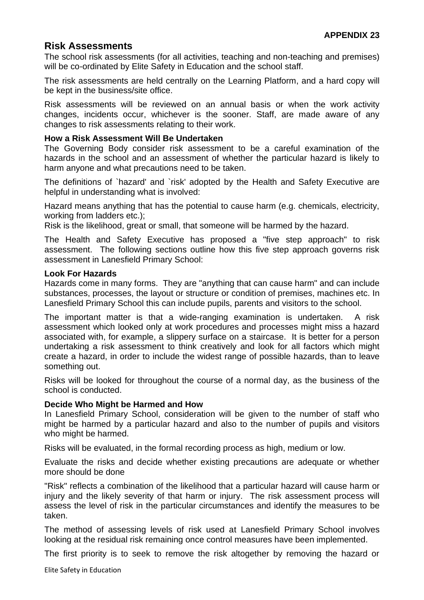# <span id="page-48-0"></span>**Risk Assessments**

The school risk assessments (for all activities, teaching and non-teaching and premises) will be co-ordinated by Elite Safety in Education and the school staff.

The risk assessments are held centrally on the Learning Platform, and a hard copy will be kept in the business/site office.

Risk assessments will be reviewed on an annual basis or when the work activity changes, incidents occur, whichever is the sooner. Staff, are made aware of any changes to risk assessments relating to their work.

#### **How a Risk Assessment Will Be Undertaken**

The Governing Body consider risk assessment to be a careful examination of the hazards in the school and an assessment of whether the particular hazard is likely to harm anyone and what precautions need to be taken.

The definitions of `hazard' and `risk' adopted by the Health and Safety Executive are helpful in understanding what is involved:

Hazard means anything that has the potential to cause harm (e.g. chemicals, electricity, working from ladders etc.);

Risk is the likelihood, great or small, that someone will be harmed by the hazard.

The Health and Safety Executive has proposed a "five step approach" to risk assessment. The following sections outline how this five step approach governs risk assessment in Lanesfield Primary School:

#### **Look For Hazards**

Hazards come in many forms. They are "anything that can cause harm" and can include substances, processes, the layout or structure or condition of premises, machines etc. In Lanesfield Primary School this can include pupils, parents and visitors to the school.

The important matter is that a wide-ranging examination is undertaken. A risk assessment which looked only at work procedures and processes might miss a hazard associated with, for example, a slippery surface on a staircase. It is better for a person undertaking a risk assessment to think creatively and look for all factors which might create a hazard, in order to include the widest range of possible hazards, than to leave something out.

Risks will be looked for throughout the course of a normal day, as the business of the school is conducted.

## **Decide Who Might be Harmed and How**

In Lanesfield Primary School, consideration will be given to the number of staff who might be harmed by a particular hazard and also to the number of pupils and visitors who might be harmed.

Risks will be evaluated, in the formal recording process as high, medium or low.

Evaluate the risks and decide whether existing precautions are adequate or whether more should be done

"Risk" reflects a combination of the likelihood that a particular hazard will cause harm or injury and the likely severity of that harm or injury. The risk assessment process will assess the level of risk in the particular circumstances and identify the measures to be taken.

The method of assessing levels of risk used at Lanesfield Primary School involves looking at the residual risk remaining once control measures have been implemented.

The first priority is to seek to remove the risk altogether by removing the hazard or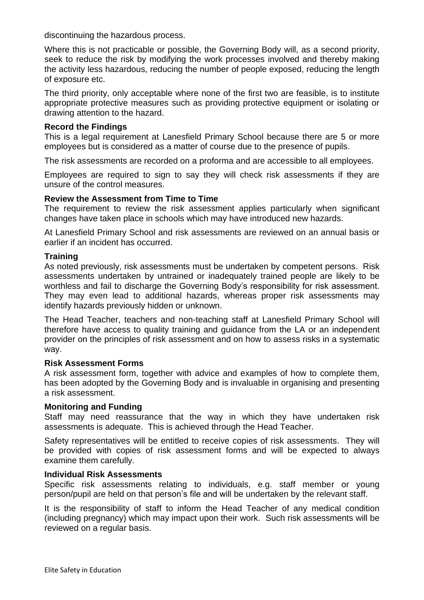discontinuing the hazardous process.

Where this is not practicable or possible, the Governing Body will, as a second priority, seek to reduce the risk by modifying the work processes involved and thereby making the activity less hazardous, reducing the number of people exposed, reducing the length of exposure etc.

The third priority, only acceptable where none of the first two are feasible, is to institute appropriate protective measures such as providing protective equipment or isolating or drawing attention to the hazard.

#### **Record the Findings**

This is a legal requirement at Lanesfield Primary School because there are 5 or more employees but is considered as a matter of course due to the presence of pupils.

The risk assessments are recorded on a proforma and are accessible to all employees.

Employees are required to sign to say they will check risk assessments if they are unsure of the control measures.

#### **Review the Assessment from Time to Time**

The requirement to review the risk assessment applies particularly when significant changes have taken place in schools which may have introduced new hazards.

At Lanesfield Primary School and risk assessments are reviewed on an annual basis or earlier if an incident has occurred.

#### **Training**

As noted previously, risk assessments must be undertaken by competent persons. Risk assessments undertaken by untrained or inadequately trained people are likely to be worthless and fail to discharge the Governing Body's responsibility for risk assessment. They may even lead to additional hazards, whereas proper risk assessments may identify hazards previously hidden or unknown.

The Head Teacher, teachers and non-teaching staff at Lanesfield Primary School will therefore have access to quality training and guidance from the LA or an independent provider on the principles of risk assessment and on how to assess risks in a systematic way.

#### **Risk Assessment Forms**

A risk assessment form, together with advice and examples of how to complete them, has been adopted by the Governing Body and is invaluable in organising and presenting a risk assessment.

#### **Monitoring and Funding**

Staff may need reassurance that the way in which they have undertaken risk assessments is adequate. This is achieved through the Head Teacher.

Safety representatives will be entitled to receive copies of risk assessments. They will be provided with copies of risk assessment forms and will be expected to always examine them carefully.

## **Individual Risk Assessments**

Specific risk assessments relating to individuals, e.g. staff member or young person/pupil are held on that person's file and will be undertaken by the relevant staff.

It is the responsibility of staff to inform the Head Teacher of any medical condition (including pregnancy) which may impact upon their work. Such risk assessments will be reviewed on a regular basis.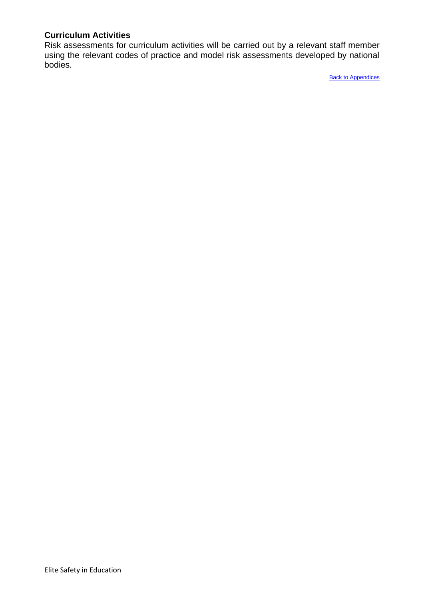# **Curriculum Activities**

Risk assessments for curriculum activities will be carried out by a relevant staff member using the relevant codes of practice and model risk assessments developed by national bodies.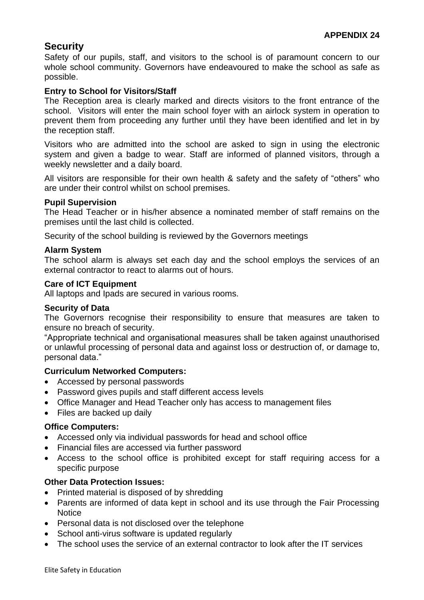# <span id="page-51-0"></span>**Security**

Safety of our pupils, staff, and visitors to the school is of paramount concern to our whole school community. Governors have endeavoured to make the school as safe as possible.

# **Entry to School for Visitors/Staff**

The Reception area is clearly marked and directs visitors to the front entrance of the school. Visitors will enter the main school foyer with an airlock system in operation to prevent them from proceeding any further until they have been identified and let in by the reception staff.

Visitors who are admitted into the school are asked to sign in using the electronic system and given a badge to wear. Staff are informed of planned visitors, through a weekly newsletter and a daily board.

All visitors are responsible for their own health & safety and the safety of "others" who are under their control whilst on school premises.

## **Pupil Supervision**

The Head Teacher or in his/her absence a nominated member of staff remains on the premises until the last child is collected.

Security of the school building is reviewed by the Governors meetings

## **Alarm System**

The school alarm is always set each day and the school employs the services of an external contractor to react to alarms out of hours.

#### **Care of ICT Equipment**

All laptops and Ipads are secured in various rooms.

## **Security of Data**

The Governors recognise their responsibility to ensure that measures are taken to ensure no breach of security.

"Appropriate technical and organisational measures shall be taken against unauthorised or unlawful processing of personal data and against loss or destruction of, or damage to, personal data."

## **Curriculum Networked Computers:**

- Accessed by personal passwords
- Password gives pupils and staff different access levels
- Office Manager and Head Teacher only has access to management files
- Files are backed up daily

#### **Office Computers:**

- Accessed only via individual passwords for head and school office
- Financial files are accessed via further password
- Access to the school office is prohibited except for staff requiring access for a specific purpose

## **Other Data Protection Issues:**

- Printed material is disposed of by shredding
- Parents are informed of data kept in school and its use through the Fair Processing **Notice**
- Personal data is not disclosed over the telephone
- School anti-virus software is updated regularly
- The school uses the service of an external contractor to look after the IT services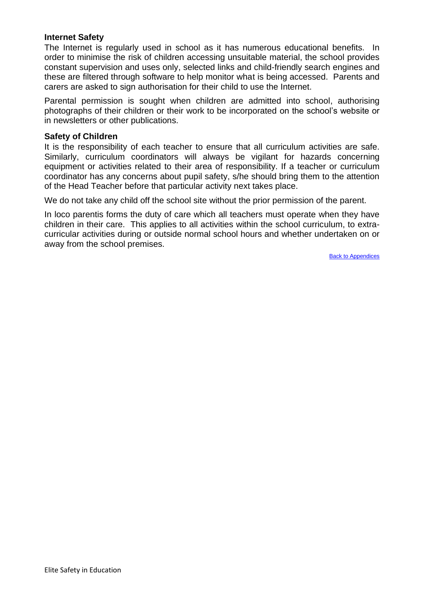## **Internet Safety**

The Internet is regularly used in school as it has numerous educational benefits. In order to minimise the risk of children accessing unsuitable material, the school provides constant supervision and uses only, selected links and child-friendly search engines and these are filtered through software to help monitor what is being accessed. Parents and carers are asked to sign authorisation for their child to use the Internet.

Parental permission is sought when children are admitted into school, authorising photographs of their children or their work to be incorporated on the school's website or in newsletters or other publications.

#### **Safety of Children**

It is the responsibility of each teacher to ensure that all curriculum activities are safe. Similarly, curriculum coordinators will always be vigilant for hazards concerning equipment or activities related to their area of responsibility. If a teacher or curriculum coordinator has any concerns about pupil safety, s/he should bring them to the attention of the Head Teacher before that particular activity next takes place.

We do not take any child off the school site without the prior permission of the parent.

In loco parentis forms the duty of care which all teachers must operate when they have children in their care. This applies to all activities within the school curriculum, to extracurricular activities during or outside normal school hours and whether undertaken on or away from the school premises.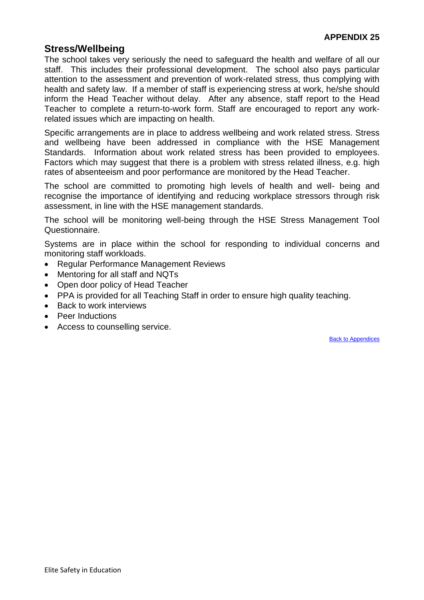# <span id="page-53-0"></span>**Stress/Wellbeing**

The school takes very seriously the need to safeguard the health and welfare of all our staff. This includes their professional development. The school also pays particular attention to the assessment and prevention of work-related stress, thus complying with health and safety law. If a member of staff is experiencing stress at work, he/she should inform the Head Teacher without delay. After any absence, staff report to the Head Teacher to complete a return-to-work form. Staff are encouraged to report any workrelated issues which are impacting on health.

Specific arrangements are in place to address wellbeing and work related stress. Stress and wellbeing have been addressed in compliance with the HSE Management Standards. Information about work related stress has been provided to employees. Factors which may suggest that there is a problem with stress related illness, e.g. high rates of absenteeism and poor performance are monitored by the Head Teacher.

The school are committed to promoting high levels of health and well- being and recognise the importance of identifying and reducing workplace stressors through risk assessment, in line with the HSE management standards.

The school will be monitoring well-being through the HSE Stress Management Tool Questionnaire.

Systems are in place within the school for responding to individual concerns and monitoring staff workloads.

- Regular Performance Management Reviews
- Mentoring for all staff and NQTs
- Open door policy of Head Teacher
- PPA is provided for all Teaching Staff in order to ensure high quality teaching.
- Back to work interviews
- Peer Inductions
- Access to counselling service.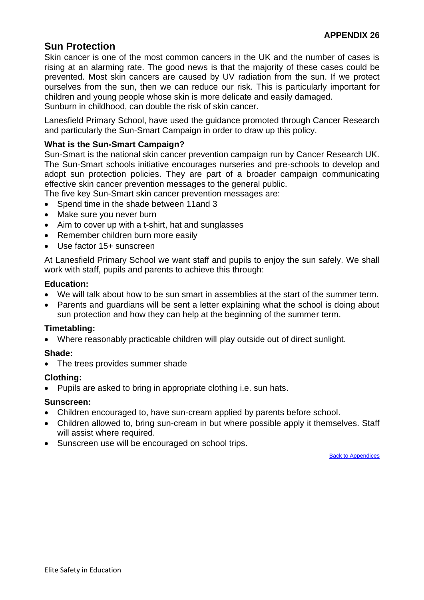# <span id="page-54-0"></span>**Sun Protection**

Skin cancer is one of the most common cancers in the UK and the number of cases is rising at an alarming rate. The good news is that the majority of these cases could be prevented. Most skin cancers are caused by UV radiation from the sun. If we protect ourselves from the sun, then we can reduce our risk. This is particularly important for children and young people whose skin is more delicate and easily damaged.

Sunburn in childhood, can double the risk of skin cancer.

Lanesfield Primary School, have used the guidance promoted through Cancer Research and particularly the Sun-Smart Campaign in order to draw up this policy.

# **What is the Sun-Smart Campaign?**

Sun-Smart is the national skin cancer prevention campaign run by Cancer Research UK. The Sun-Smart schools initiative encourages nurseries and pre-schools to develop and adopt sun protection policies. They are part of a broader campaign communicating effective skin cancer prevention messages to the general public.

The five key Sun-Smart skin cancer prevention messages are:

- Spend time in the shade between 11and 3
- Make sure you never burn
- Aim to cover up with a t-shirt, hat and sunglasses
- Remember children burn more easily
- Use factor 15+ sunscreen

At Lanesfield Primary School we want staff and pupils to enjoy the sun safely. We shall work with staff, pupils and parents to achieve this through:

#### **Education:**

- We will talk about how to be sun smart in assemblies at the start of the summer term.
- Parents and guardians will be sent a letter explaining what the school is doing about sun protection and how they can help at the beginning of the summer term.

## **Timetabling:**

• Where reasonably practicable children will play outside out of direct sunlight.

## **Shade:**

• The trees provides summer shade

## **Clothing:**

• Pupils are asked to bring in appropriate clothing i.e. sun hats.

#### **Sunscreen:**

- Children encouraged to, have sun-cream applied by parents before school.
- Children allowed to, bring sun-cream in but where possible apply it themselves. Staff will assist where required.
- Sunscreen use will be encouraged on school trips.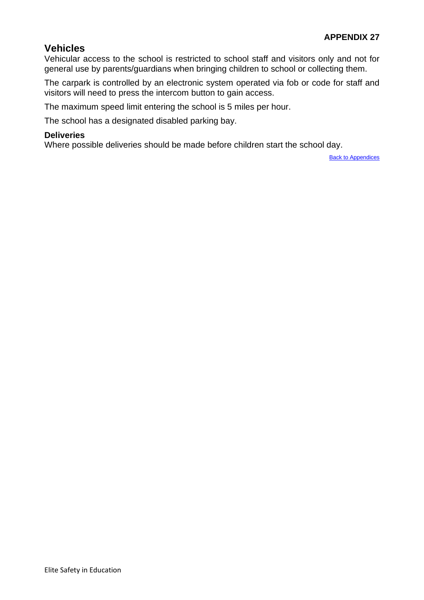# <span id="page-55-0"></span>**Vehicles**

Vehicular access to the school is restricted to school staff and visitors only and not for general use by parents/guardians when bringing children to school or collecting them.

The carpark is controlled by an electronic system operated via fob or code for staff and visitors will need to press the intercom button to gain access.

The maximum speed limit entering the school is 5 miles per hour.

The school has a designated disabled parking bay.

#### **Deliveries**

Where possible deliveries should be made before children start the school day.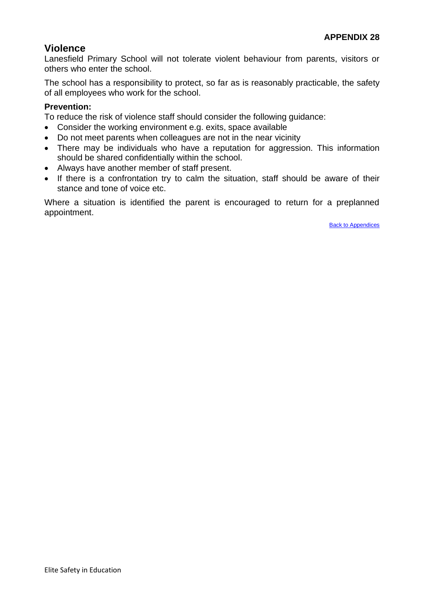# <span id="page-56-0"></span>**Violence**

Lanesfield Primary School will not tolerate violent behaviour from parents, visitors or others who enter the school.

The school has a responsibility to protect, so far as is reasonably practicable, the safety of all employees who work for the school.

## **Prevention:**

To reduce the risk of violence staff should consider the following guidance:

- Consider the working environment e.g. exits, space available
- Do not meet parents when colleagues are not in the near vicinity
- There may be individuals who have a reputation for aggression. This information should be shared confidentially within the school.
- Always have another member of staff present.
- If there is a confrontation try to calm the situation, staff should be aware of their stance and tone of voice etc.

Where a situation is identified the parent is encouraged to return for a preplanned appointment.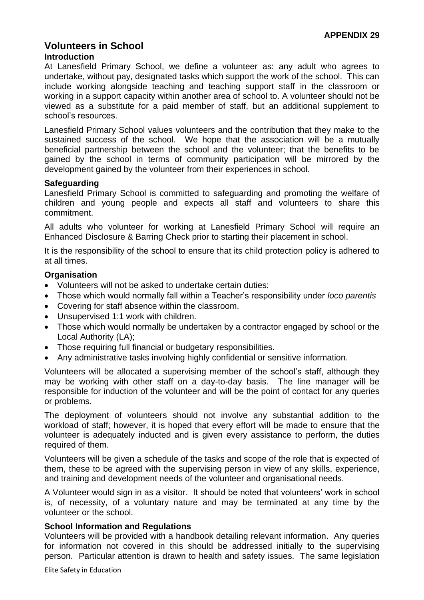## <span id="page-57-0"></span>**Volunteers in School Introduction**

At Lanesfield Primary School, we define a volunteer as: any adult who agrees to undertake, without pay, designated tasks which support the work of the school. This can include working alongside teaching and teaching support staff in the classroom or working in a support capacity within another area of school to. A volunteer should not be viewed as a substitute for a paid member of staff, but an additional supplement to school's resources.

Lanesfield Primary School values volunteers and the contribution that they make to the sustained success of the school. We hope that the association will be a mutually beneficial partnership between the school and the volunteer; that the benefits to be gained by the school in terms of community participation will be mirrored by the development gained by the volunteer from their experiences in school.

## **Safeguarding**

Lanesfield Primary School is committed to safeguarding and promoting the welfare of children and young people and expects all staff and volunteers to share this commitment.

All adults who volunteer for working at Lanesfield Primary School will require an Enhanced Disclosure & Barring Check prior to starting their placement in school.

It is the responsibility of the school to ensure that its child protection policy is adhered to at all times.

#### **Organisation**

- Volunteers will not be asked to undertake certain duties:
- Those which would normally fall within a Teacher's responsibility under *loco parentis*
- Covering for staff absence within the classroom.
- Unsupervised 1:1 work with children.
- Those which would normally be undertaken by a contractor engaged by school or the Local Authority (LA);
- Those requiring full financial or budgetary responsibilities.
- Any administrative tasks involving highly confidential or sensitive information.

Volunteers will be allocated a supervising member of the school's staff, although they may be working with other staff on a day-to-day basis. The line manager will be responsible for induction of the volunteer and will be the point of contact for any queries or problems.

The deployment of volunteers should not involve any substantial addition to the workload of staff; however, it is hoped that every effort will be made to ensure that the volunteer is adequately inducted and is given every assistance to perform, the duties required of them.

Volunteers will be given a schedule of the tasks and scope of the role that is expected of them, these to be agreed with the supervising person in view of any skills, experience, and training and development needs of the volunteer and organisational needs.

A Volunteer would sign in as a visitor. It should be noted that volunteers' work in school is, of necessity, of a voluntary nature and may be terminated at any time by the volunteer or the school.

#### **School Information and Regulations**

Volunteers will be provided with a handbook detailing relevant information. Any queries for information not covered in this should be addressed initially to the supervising person. Particular attention is drawn to health and safety issues. The same legislation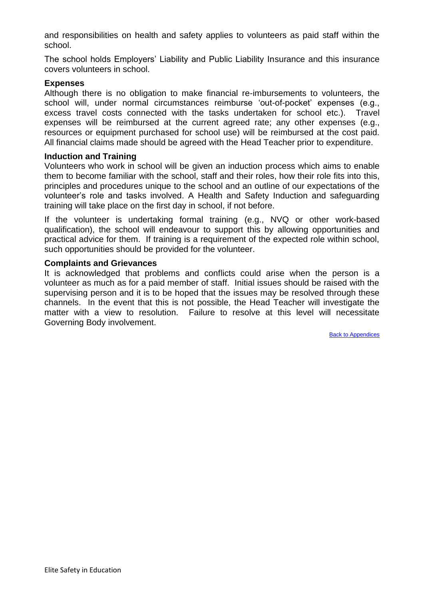and responsibilities on health and safety applies to volunteers as paid staff within the school.

The school holds Employers' Liability and Public Liability Insurance and this insurance covers volunteers in school.

#### **Expenses**

Although there is no obligation to make financial re-imbursements to volunteers, the school will, under normal circumstances reimburse 'out-of-pocket' expenses (e.g., excess travel costs connected with the tasks undertaken for school etc.). Travel expenses will be reimbursed at the current agreed rate; any other expenses (e.g., resources or equipment purchased for school use) will be reimbursed at the cost paid. All financial claims made should be agreed with the Head Teacher prior to expenditure.

#### **Induction and Training**

Volunteers who work in school will be given an induction process which aims to enable them to become familiar with the school, staff and their roles, how their role fits into this, principles and procedures unique to the school and an outline of our expectations of the volunteer's role and tasks involved. A Health and Safety Induction and safeguarding training will take place on the first day in school, if not before.

If the volunteer is undertaking formal training (e.g., NVQ or other work-based qualification), the school will endeavour to support this by allowing opportunities and practical advice for them. If training is a requirement of the expected role within school, such opportunities should be provided for the volunteer.

#### **Complaints and Grievances**

It is acknowledged that problems and conflicts could arise when the person is a volunteer as much as for a paid member of staff. Initial issues should be raised with the supervising person and it is to be hoped that the issues may be resolved through these channels. In the event that this is not possible, the Head Teacher will investigate the matter with a view to resolution. Failure to resolve at this level will necessitate Governing Body involvement.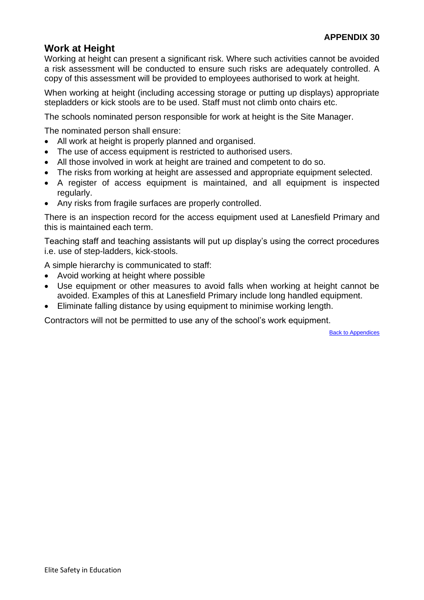# <span id="page-59-0"></span>**Work at Height**

Working at height can present a significant risk. Where such activities cannot be avoided a risk assessment will be conducted to ensure such risks are adequately controlled. A copy of this assessment will be provided to employees authorised to work at height.

When working at height (including accessing storage or putting up displays) appropriate stepladders or kick stools are to be used. Staff must not climb onto chairs etc.

The schools nominated person responsible for work at height is the Site Manager.

The nominated person shall ensure:

- All work at height is properly planned and organised.
- The use of access equipment is restricted to authorised users.
- All those involved in work at height are trained and competent to do so.
- The risks from working at height are assessed and appropriate equipment selected.
- A register of access equipment is maintained, and all equipment is inspected regularly.
- Any risks from fragile surfaces are properly controlled.

There is an inspection record for the access equipment used at Lanesfield Primary and this is maintained each term.

Teaching staff and teaching assistants will put up display's using the correct procedures i.e. use of step-ladders, kick-stools.

A simple hierarchy is communicated to staff:

- Avoid working at height where possible
- Use equipment or other measures to avoid falls when working at height cannot be avoided. Examples of this at Lanesfield Primary include long handled equipment.
- Eliminate falling distance by using equipment to minimise working length.

Contractors will not be permitted to use any of the school's work equipment.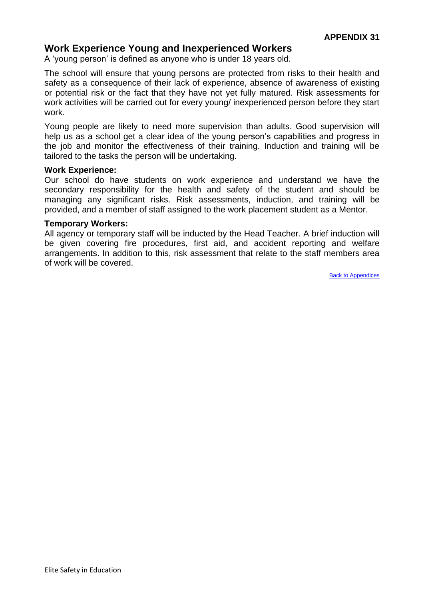# <span id="page-60-0"></span>**Work Experience Young and Inexperienced Workers**

A 'young person' is defined as anyone who is under 18 years old.

The school will ensure that young persons are protected from risks to their health and safety as a consequence of their lack of experience, absence of awareness of existing or potential risk or the fact that they have not yet fully matured. Risk assessments for work activities will be carried out for every young/ inexperienced person before they start work.

Young people are likely to need more supervision than adults. Good supervision will help us as a school get a clear idea of the young person's capabilities and progress in the job and monitor the effectiveness of their training. Induction and training will be tailored to the tasks the person will be undertaking.

#### **Work Experience:**

Our school do have students on work experience and understand we have the secondary responsibility for the health and safety of the student and should be managing any significant risks. Risk assessments, induction, and training will be provided, and a member of staff assigned to the work placement student as a Mentor.

#### **Temporary Workers:**

All agency or temporary staff will be inducted by the Head Teacher. A brief induction will be given covering fire procedures, first aid, and accident reporting and welfare arrangements. In addition to this, risk assessment that relate to the staff members area of work will be covered.